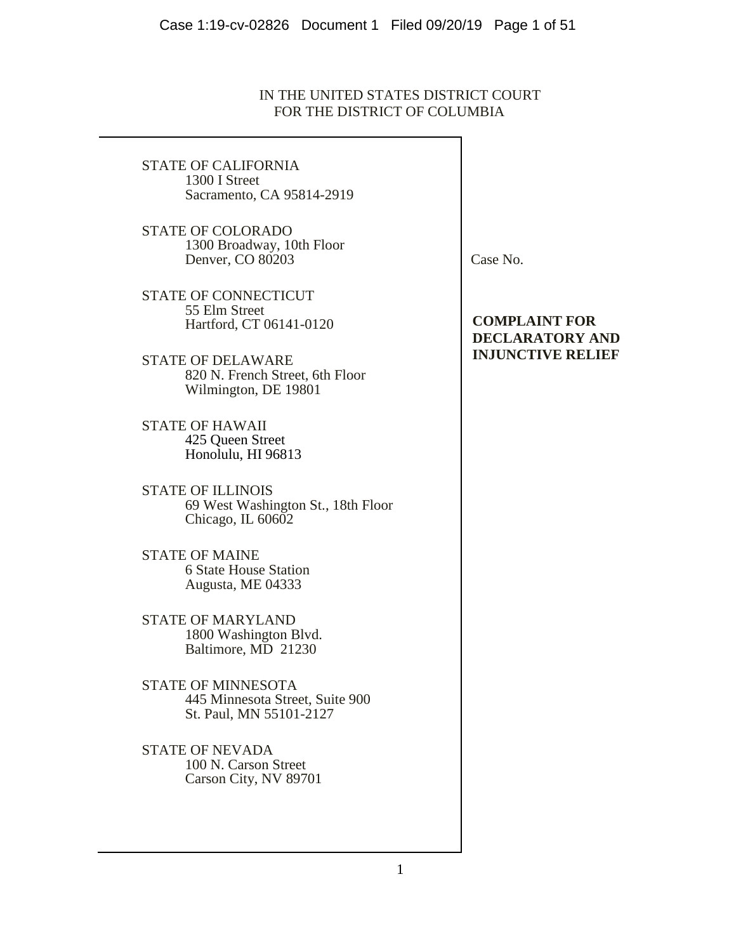# IN THE UNITED STATES DISTRICT COURT FOR THE DISTRICT OF COLUMBIA

STATE OF CALIFORNIA 1300 I Street Sacramento, CA 95814-2919

STATE OF COLORADO 1300 Broadway, 10th Floor Denver, CO 80203

STATE OF CONNECTICUT 55 Elm Street Hartford, CT 06141-0120

STATE OF DELAWARE 820 N. French Street, 6th Floor Wilmington, DE 19801

STATE OF HAWAII 425 Queen Street Honolulu, HI 96813

STATE OF ILLINOIS 69 West Washington St., 18th Floor Chicago, IL 60602

STATE OF MAINE 6 State House Station Augusta, ME 04333

STATE OF MARYLAND 1800 Washington Blvd. Baltimore, MD 21230

STATE OF MINNESOTA 445 Minnesota Street, Suite 900 St. Paul, MN 55101-2127

STATE OF NEVADA 100 N. Carson Street Carson City, NV 89701 Case No.

# **COMPLAINT FOR DECLARATORY AND INJUNCTIVE RELIEF**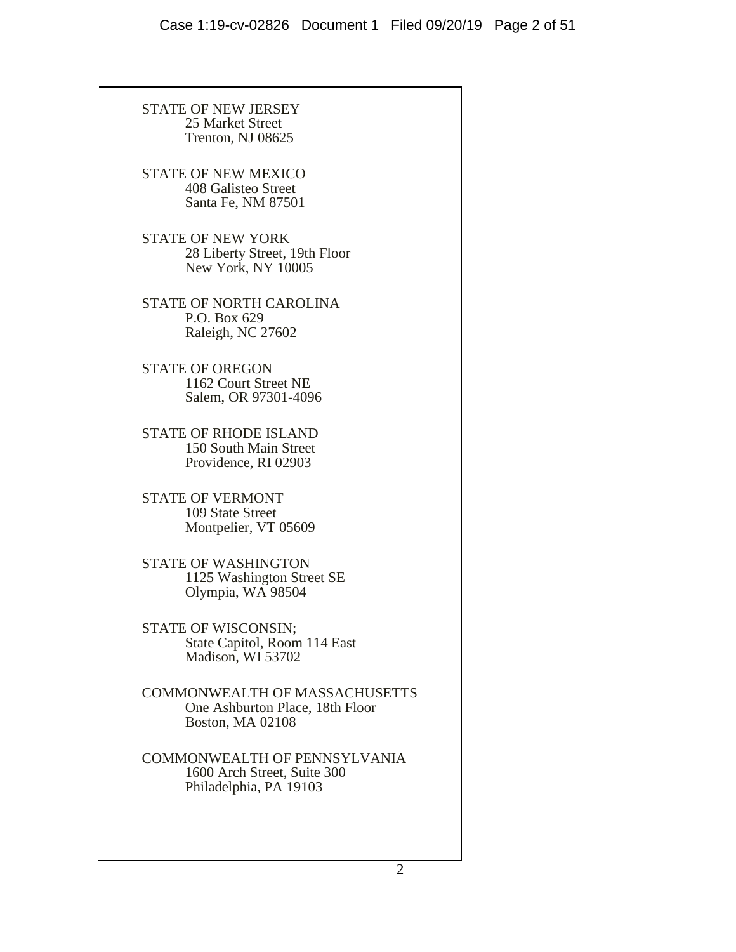STATE OF NEW JERSEY 25 Market Street Trenton, NJ 08625 STATE OF NEW MEXICO 408 Galisteo Street Santa Fe, NM 87501 STATE OF NEW YORK 28 Liberty Street, 19th Floor New York, NY 10005 STATE OF NORTH CAROLINA P.O. Box 629 Raleigh, NC 27602 STATE OF OREGON 1162 Court Street NE Salem, OR 97301-4096 STATE OF RHODE ISLAND 150 South Main Street Providence, RI 02903 STATE OF VERMONT 109 State Street Montpelier, VT 05609 STATE OF WASHINGTON 1125 Washington Street SE Olympia, WA 98504 STATE OF WISCONSIN; State Capitol, Room 114 East Madison, WI 53702 COMMONWEALTH OF MASSACHUSETTS One Ashburton Place, 18th Floor Boston, MA 02108 COMMONWEALTH OF PENNSYLVANIA 1600 Arch Street, Suite 300 Philadelphia, PA 19103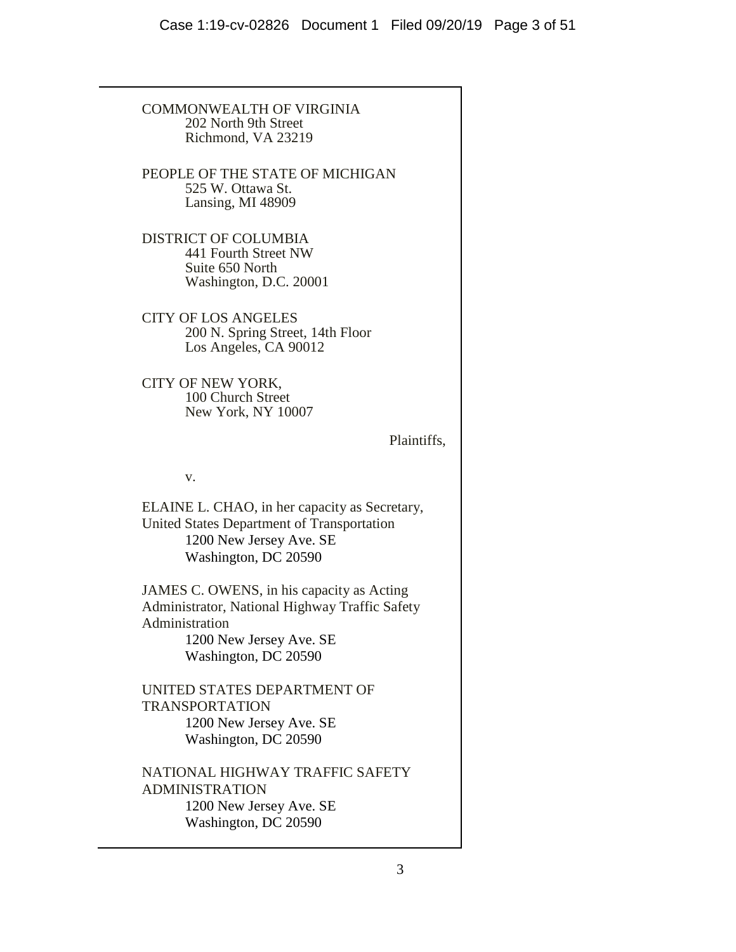COMMONWEALTH OF VIRGINIA 202 North 9th Street Richmond, VA 23219 PEOPLE OF THE STATE OF MICHIGAN 525 W. Ottawa St. Lansing, MI 48909 DISTRICT OF COLUMBIA 441 Fourth Street NW Suite 650 North Washington, D.C. 20001 CITY OF LOS ANGELES 200 N. Spring Street, 14th Floor Los Angeles, CA 90012 CITY OF NEW YORK, 100 Church Street New York, NY 10007 Plaintiffs, v. ELAINE L. CHAO, in her capacity as Secretary, United States Department of Transportation 1200 New Jersey Ave. SE Washington, DC 20590 JAMES C. OWENS, in his capacity as Acting Administrator, National Highway Traffic Safety Administration 1200 New Jersey Ave. SE Washington, DC 20590 UNITED STATES DEPARTMENT OF TRANSPORTATION 1200 New Jersey Ave. SE Washington, DC 20590 NATIONAL HIGHWAY TRAFFIC SAFETY ADMINISTRATION 1200 New Jersey Ave. SE Washington, DC 20590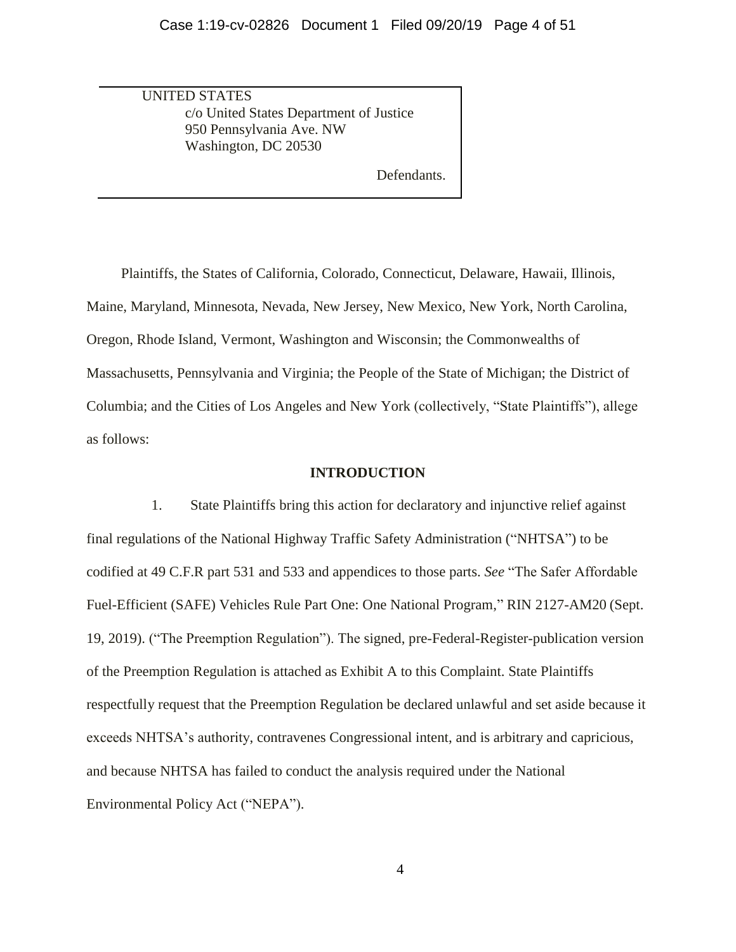UNITED STATES c/o United States Department of Justice 950 Pennsylvania Ave. NW Washington, DC 20530

Defendants.

Plaintiffs, the States of California, Colorado, Connecticut, Delaware, Hawaii, Illinois, Maine, Maryland, Minnesota, Nevada, New Jersey, New Mexico, New York, North Carolina, Oregon, Rhode Island, Vermont, Washington and Wisconsin; the Commonwealths of Massachusetts, Pennsylvania and Virginia; the People of the State of Michigan; the District of Columbia; and the Cities of Los Angeles and New York (collectively, "State Plaintiffs"), allege as follows:

#### **INTRODUCTION**

1. State Plaintiffs bring this action for declaratory and injunctive relief against final regulations of the National Highway Traffic Safety Administration ("NHTSA") to be codified at 49 C.F.R part 531 and 533 and appendices to those parts. *See* "The Safer Affordable Fuel-Efficient (SAFE) Vehicles Rule Part One: One National Program," RIN 2127-AM20 (Sept. 19, 2019). ("The Preemption Regulation"). The signed, pre-Federal-Register-publication version of the Preemption Regulation is attached as Exhibit A to this Complaint. State Plaintiffs respectfully request that the Preemption Regulation be declared unlawful and set aside because it exceeds NHTSA's authority, contravenes Congressional intent, and is arbitrary and capricious, and because NHTSA has failed to conduct the analysis required under the National Environmental Policy Act ("NEPA").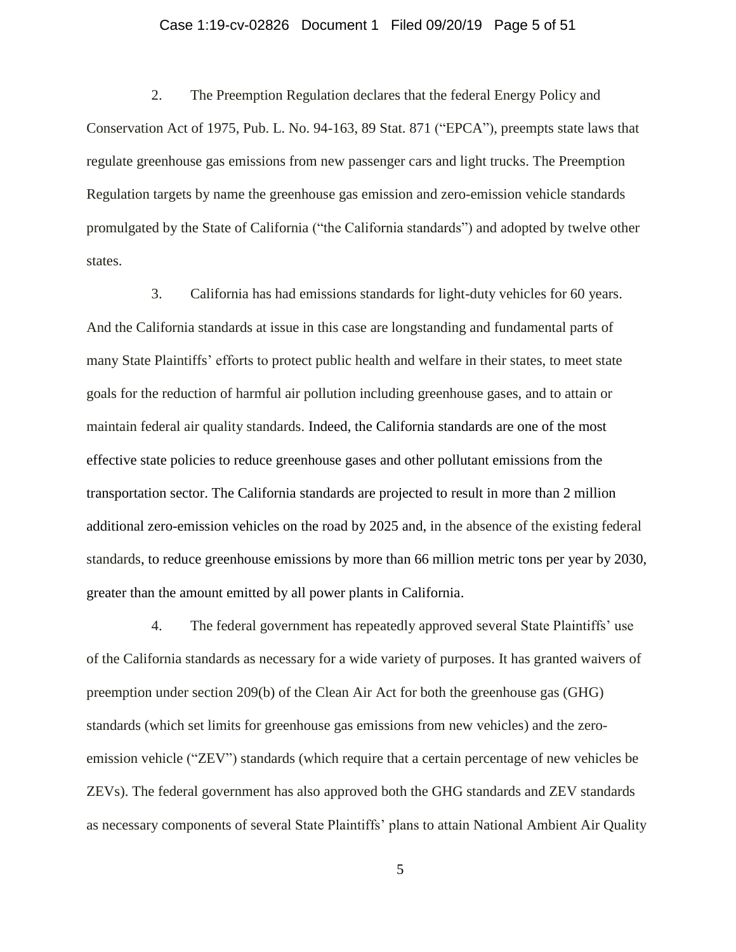### Case 1:19-cv-02826 Document 1 Filed 09/20/19 Page 5 of 51

2. The Preemption Regulation declares that the federal Energy Policy and Conservation Act of 1975, Pub. L. No. 94-163, 89 Stat. 871 ("EPCA"), preempts state laws that regulate greenhouse gas emissions from new passenger cars and light trucks. The Preemption Regulation targets by name the greenhouse gas emission and zero-emission vehicle standards promulgated by the State of California ("the California standards") and adopted by twelve other states.

3. California has had emissions standards for light-duty vehicles for 60 years. And the California standards at issue in this case are longstanding and fundamental parts of many State Plaintiffs' efforts to protect public health and welfare in their states, to meet state goals for the reduction of harmful air pollution including greenhouse gases, and to attain or maintain federal air quality standards. Indeed, the California standards are one of the most effective state policies to reduce greenhouse gases and other pollutant emissions from the transportation sector. The California standards are projected to result in more than 2 million additional zero-emission vehicles on the road by 2025 and, in the absence of the existing federal standards, to reduce greenhouse emissions by more than 66 million metric tons per year by 2030, greater than the amount emitted by all power plants in California.

4. The federal government has repeatedly approved several State Plaintiffs' use of the California standards as necessary for a wide variety of purposes. It has granted waivers of preemption under section 209(b) of the Clean Air Act for both the greenhouse gas (GHG) standards (which set limits for greenhouse gas emissions from new vehicles) and the zeroemission vehicle ("ZEV") standards (which require that a certain percentage of new vehicles be ZEVs). The federal government has also approved both the GHG standards and ZEV standards as necessary components of several State Plaintiffs' plans to attain National Ambient Air Quality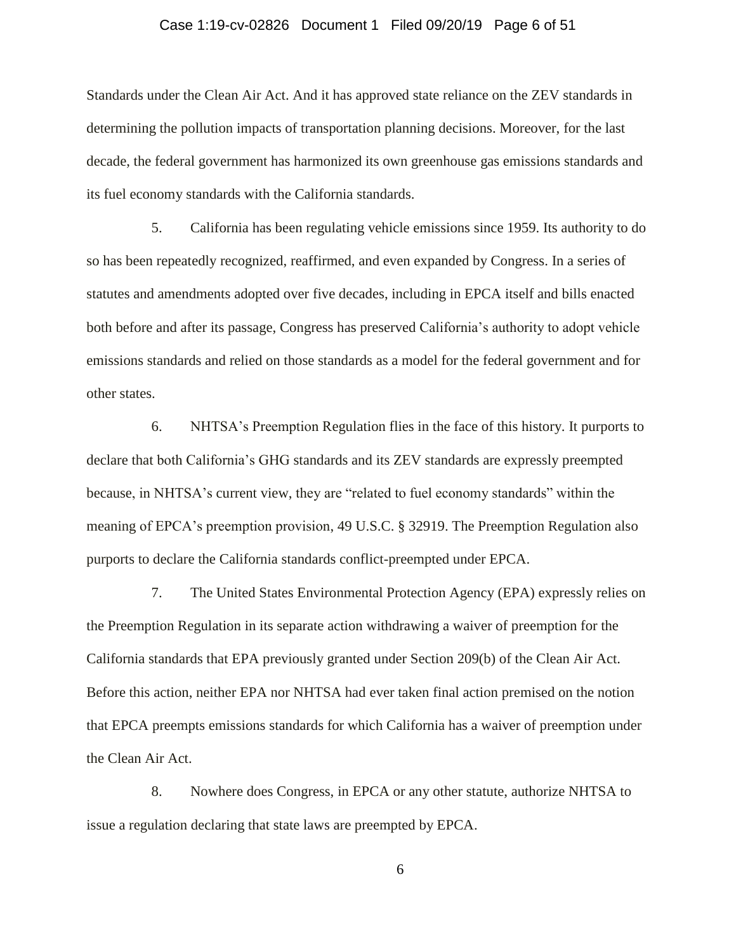### Case 1:19-cv-02826 Document 1 Filed 09/20/19 Page 6 of 51

Standards under the Clean Air Act. And it has approved state reliance on the ZEV standards in determining the pollution impacts of transportation planning decisions. Moreover, for the last decade, the federal government has harmonized its own greenhouse gas emissions standards and its fuel economy standards with the California standards.

5. California has been regulating vehicle emissions since 1959. Its authority to do so has been repeatedly recognized, reaffirmed, and even expanded by Congress. In a series of statutes and amendments adopted over five decades, including in EPCA itself and bills enacted both before and after its passage, Congress has preserved California's authority to adopt vehicle emissions standards and relied on those standards as a model for the federal government and for other states.

6. NHTSA's Preemption Regulation flies in the face of this history. It purports to declare that both California's GHG standards and its ZEV standards are expressly preempted because, in NHTSA's current view, they are "related to fuel economy standards" within the meaning of EPCA's preemption provision, 49 U.S.C. § 32919. The Preemption Regulation also purports to declare the California standards conflict-preempted under EPCA.

7. The United States Environmental Protection Agency (EPA) expressly relies on the Preemption Regulation in its separate action withdrawing a waiver of preemption for the California standards that EPA previously granted under Section 209(b) of the Clean Air Act. Before this action, neither EPA nor NHTSA had ever taken final action premised on the notion that EPCA preempts emissions standards for which California has a waiver of preemption under the Clean Air Act.

8. Nowhere does Congress, in EPCA or any other statute, authorize NHTSA to issue a regulation declaring that state laws are preempted by EPCA.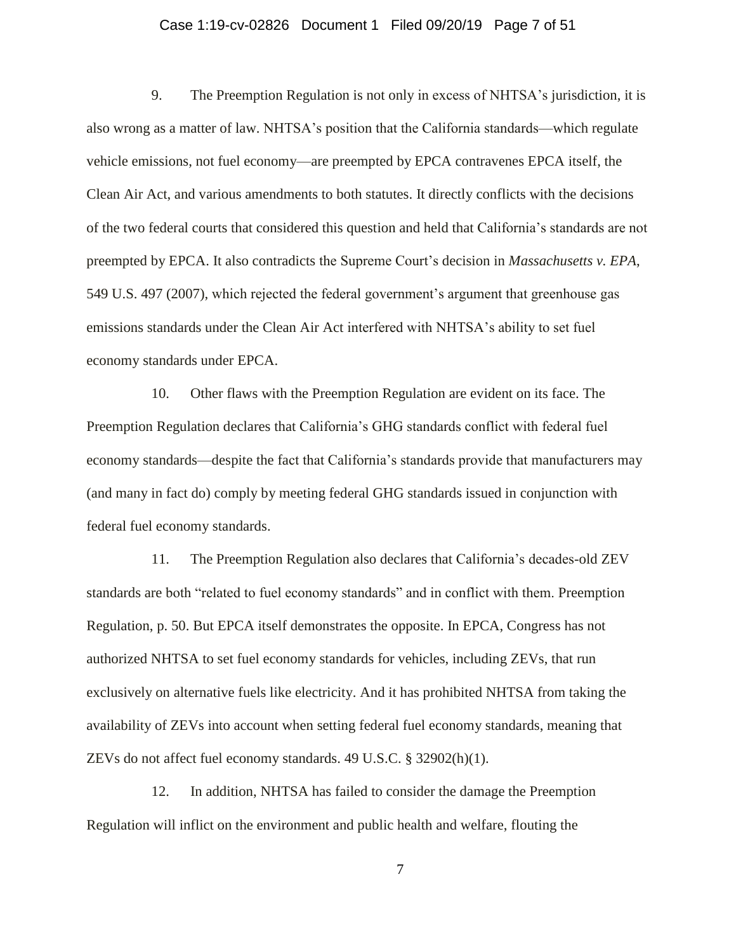### Case 1:19-cv-02826 Document 1 Filed 09/20/19 Page 7 of 51

9. The Preemption Regulation is not only in excess of NHTSA's jurisdiction, it is also wrong as a matter of law. NHTSA's position that the California standards—which regulate vehicle emissions, not fuel economy—are preempted by EPCA contravenes EPCA itself, the Clean Air Act, and various amendments to both statutes. It directly conflicts with the decisions of the two federal courts that considered this question and held that California's standards are not preempted by EPCA. It also contradicts the Supreme Court's decision in *Massachusetts v. EPA*, 549 U.S. 497 (2007), which rejected the federal government's argument that greenhouse gas emissions standards under the Clean Air Act interfered with NHTSA's ability to set fuel economy standards under EPCA.

10. Other flaws with the Preemption Regulation are evident on its face. The Preemption Regulation declares that California's GHG standards conflict with federal fuel economy standards—despite the fact that California's standards provide that manufacturers may (and many in fact do) comply by meeting federal GHG standards issued in conjunction with federal fuel economy standards.

11. The Preemption Regulation also declares that California's decades-old ZEV standards are both "related to fuel economy standards" and in conflict with them. Preemption Regulation, p. 50. But EPCA itself demonstrates the opposite. In EPCA, Congress has not authorized NHTSA to set fuel economy standards for vehicles, including ZEVs, that run exclusively on alternative fuels like electricity. And it has prohibited NHTSA from taking the availability of ZEVs into account when setting federal fuel economy standards, meaning that ZEVs do not affect fuel economy standards. 49 U.S.C. § 32902(h)(1).

12. In addition, NHTSA has failed to consider the damage the Preemption Regulation will inflict on the environment and public health and welfare, flouting the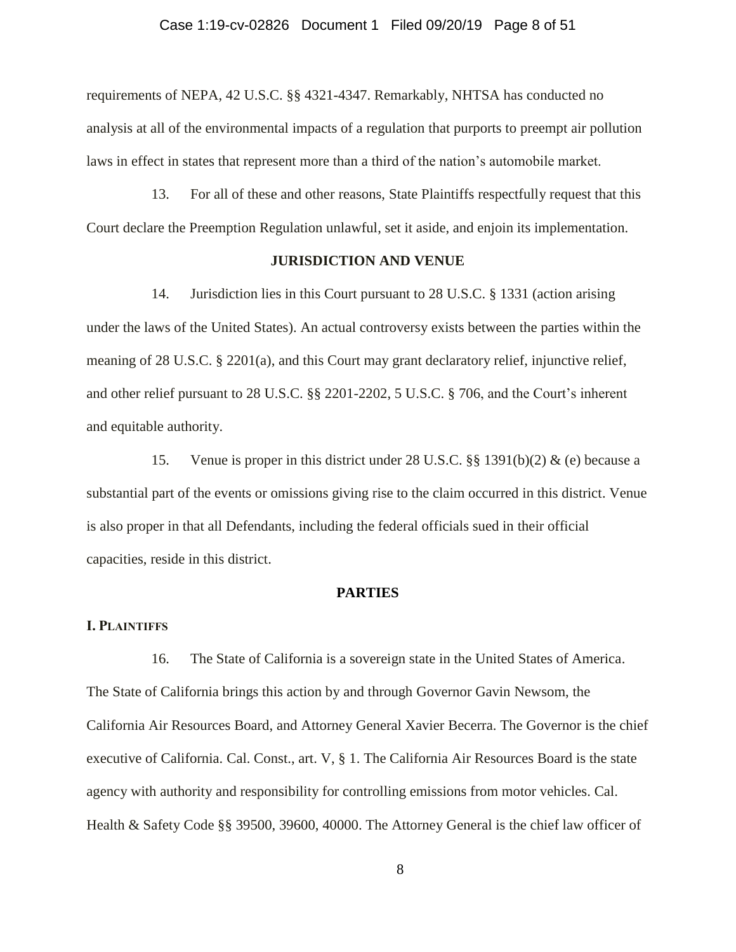### Case 1:19-cv-02826 Document 1 Filed 09/20/19 Page 8 of 51

requirements of NEPA, 42 U.S.C. §§ 4321-4347. Remarkably, NHTSA has conducted no analysis at all of the environmental impacts of a regulation that purports to preempt air pollution laws in effect in states that represent more than a third of the nation's automobile market.

13. For all of these and other reasons, State Plaintiffs respectfully request that this Court declare the Preemption Regulation unlawful, set it aside, and enjoin its implementation.

## **JURISDICTION AND VENUE**

14. Jurisdiction lies in this Court pursuant to 28 U.S.C. § 1331 (action arising under the laws of the United States). An actual controversy exists between the parties within the meaning of 28 U.S.C. § 2201(a), and this Court may grant declaratory relief, injunctive relief, and other relief pursuant to 28 U.S.C. §§ 2201-2202, 5 U.S.C. § 706, and the Court's inherent and equitable authority.

15. Venue is proper in this district under 28 U.S.C. §§ 1391(b)(2) & (e) because a substantial part of the events or omissions giving rise to the claim occurred in this district. Venue is also proper in that all Defendants, including the federal officials sued in their official capacities, reside in this district.

#### **PARTIES**

## **I. PLAINTIFFS**

16. The State of California is a sovereign state in the United States of America. The State of California brings this action by and through Governor Gavin Newsom, the California Air Resources Board, and Attorney General Xavier Becerra. The Governor is the chief executive of California. Cal. Const., art. V, § 1. The California Air Resources Board is the state agency with authority and responsibility for controlling emissions from motor vehicles. Cal. Health & Safety Code §§ 39500, 39600, 40000. The Attorney General is the chief law officer of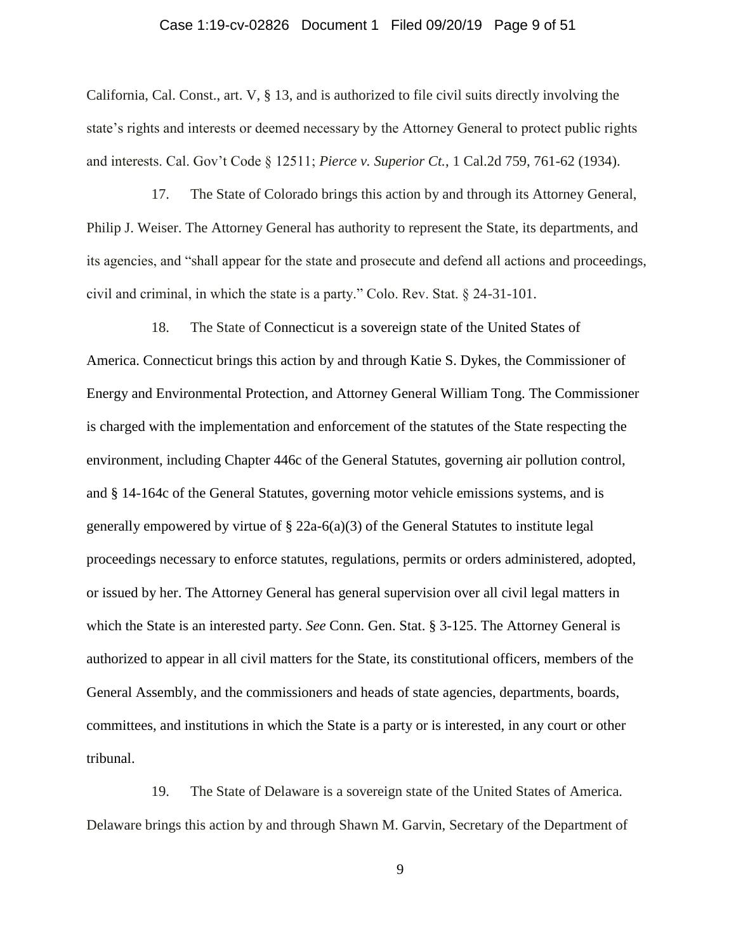### Case 1:19-cv-02826 Document 1 Filed 09/20/19 Page 9 of 51

California, Cal. Const., art. V, § 13, and is authorized to file civil suits directly involving the state's rights and interests or deemed necessary by the Attorney General to protect public rights and interests. Cal. Gov't Code § 12511; *Pierce v. Superior Ct.*, 1 Cal.2d 759, 761-62 (1934).

17. The State of Colorado brings this action by and through its Attorney General, Philip J. Weiser. The Attorney General has authority to represent the State, its departments, and its agencies, and "shall appear for the state and prosecute and defend all actions and proceedings, civil and criminal, in which the state is a party." Colo. Rev. Stat. § 24-31-101.

18. The State of Connecticut is a sovereign state of the United States of America. Connecticut brings this action by and through Katie S. Dykes, the Commissioner of Energy and Environmental Protection, and Attorney General William Tong. The Commissioner is charged with the implementation and enforcement of the statutes of the State respecting the environment, including Chapter 446c of the General Statutes, governing air pollution control, and § 14-164c of the General Statutes, governing motor vehicle emissions systems, and is generally empowered by virtue of § 22a-6(a)(3) of the General Statutes to institute legal proceedings necessary to enforce statutes, regulations, permits or orders administered, adopted, or issued by her. The Attorney General has general supervision over all civil legal matters in which the State is an interested party. *See* Conn. Gen. Stat. § 3-125. The Attorney General is authorized to appear in all civil matters for the State, its constitutional officers, members of the General Assembly, and the commissioners and heads of state agencies, departments, boards, committees, and institutions in which the State is a party or is interested, in any court or other tribunal.

19. The State of Delaware is a sovereign state of the United States of America. Delaware brings this action by and through Shawn M. Garvin, Secretary of the Department of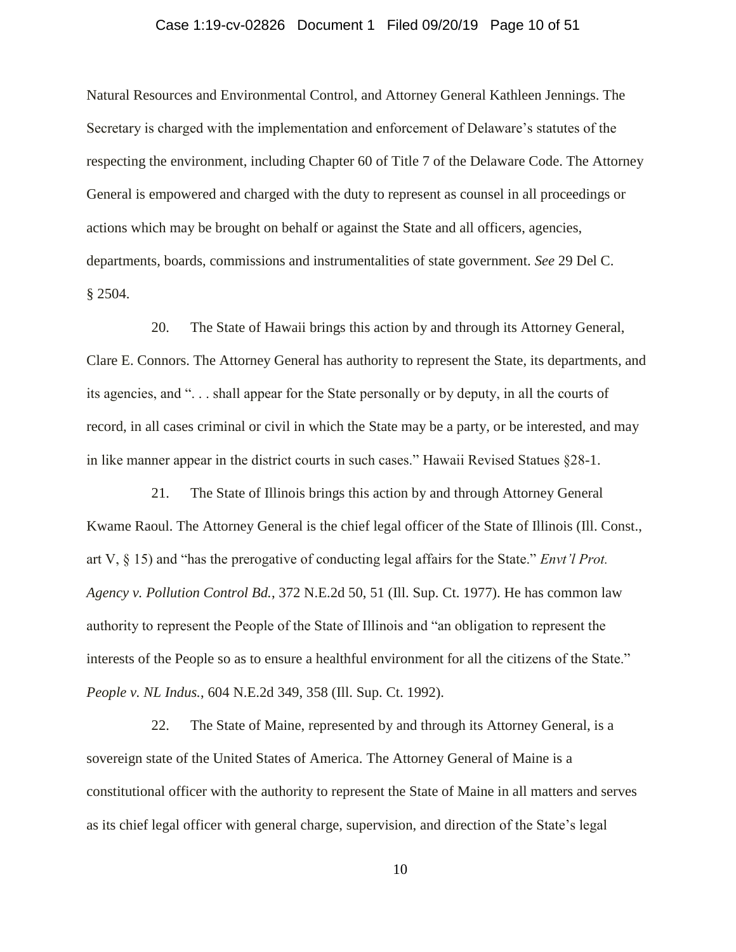### Case 1:19-cv-02826 Document 1 Filed 09/20/19 Page 10 of 51

Natural Resources and Environmental Control, and Attorney General Kathleen Jennings. The Secretary is charged with the implementation and enforcement of Delaware's statutes of the respecting the environment, including Chapter 60 of Title 7 of the Delaware Code. The Attorney General is empowered and charged with the duty to represent as counsel in all proceedings or actions which may be brought on behalf or against the State and all officers, agencies, departments, boards, commissions and instrumentalities of state government. *See* 29 Del C. § 2504.

20. The State of Hawaii brings this action by and through its Attorney General, Clare E. Connors. The Attorney General has authority to represent the State, its departments, and its agencies, and ". . . shall appear for the State personally or by deputy, in all the courts of record, in all cases criminal or civil in which the State may be a party, or be interested, and may in like manner appear in the district courts in such cases." Hawaii Revised Statues §28-1.

21. The State of Illinois brings this action by and through Attorney General Kwame Raoul. The Attorney General is the chief legal officer of the State of Illinois (Ill. Const., art V, § 15) and "has the prerogative of conducting legal affairs for the State." *Envt'l Prot. Agency v. Pollution Control Bd.*, 372 N.E.2d 50, 51 (Ill. Sup. Ct. 1977). He has common law authority to represent the People of the State of Illinois and "an obligation to represent the interests of the People so as to ensure a healthful environment for all the citizens of the State." *People v. NL Indus.*, 604 N.E.2d 349, 358 (Ill. Sup. Ct. 1992).

22. The State of Maine, represented by and through its Attorney General, is a sovereign state of the United States of America. The Attorney General of Maine is a constitutional officer with the authority to represent the State of Maine in all matters and serves as its chief legal officer with general charge, supervision, and direction of the State's legal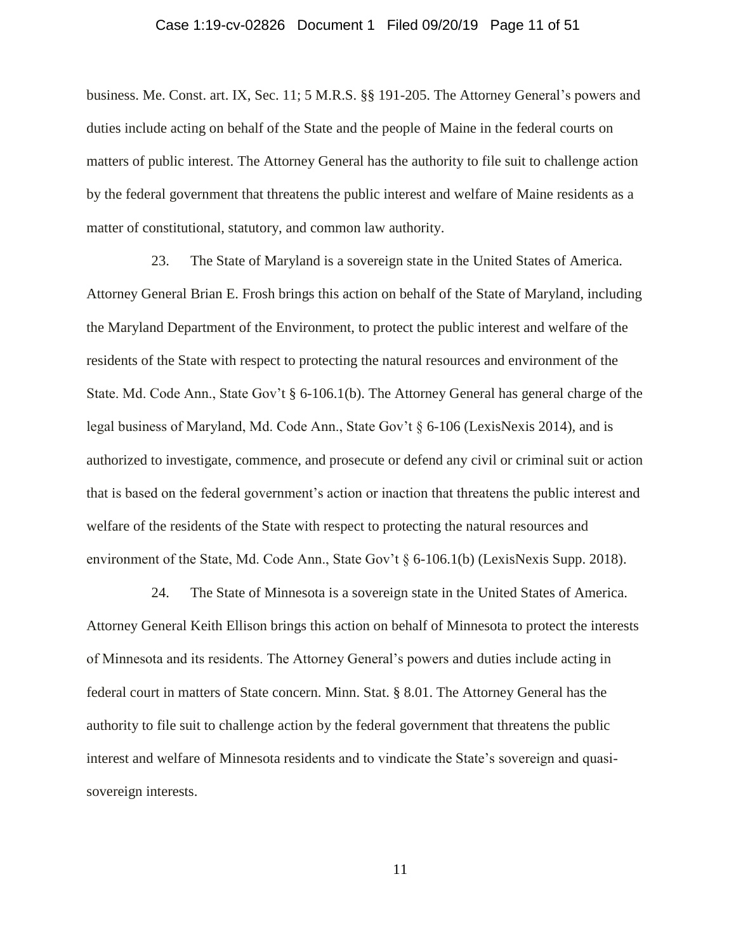#### Case 1:19-cv-02826 Document 1 Filed 09/20/19 Page 11 of 51

business. Me. Const. art. IX, Sec. 11; 5 M.R.S. §§ 191-205. The Attorney General's powers and duties include acting on behalf of the State and the people of Maine in the federal courts on matters of public interest. The Attorney General has the authority to file suit to challenge action by the federal government that threatens the public interest and welfare of Maine residents as a matter of constitutional, statutory, and common law authority.

23. The State of Maryland is a sovereign state in the United States of America. Attorney General Brian E. Frosh brings this action on behalf of the State of Maryland, including the Maryland Department of the Environment, to protect the public interest and welfare of the residents of the State with respect to protecting the natural resources and environment of the State. Md. Code Ann., State Gov't § 6-106.1(b). The Attorney General has general charge of the legal business of Maryland, Md. Code Ann., State Gov't § 6-106 (LexisNexis 2014), and is authorized to investigate, commence, and prosecute or defend any civil or criminal suit or action that is based on the federal government's action or inaction that threatens the public interest and welfare of the residents of the State with respect to protecting the natural resources and environment of the State, Md. Code Ann., State Gov't § 6-106.1(b) (LexisNexis Supp. 2018).

24. The State of Minnesota is a sovereign state in the United States of America. Attorney General Keith Ellison brings this action on behalf of Minnesota to protect the interests of Minnesota and its residents. The Attorney General's powers and duties include acting in federal court in matters of State concern. Minn. Stat. § 8.01. The Attorney General has the authority to file suit to challenge action by the federal government that threatens the public interest and welfare of Minnesota residents and to vindicate the State's sovereign and quasisovereign interests.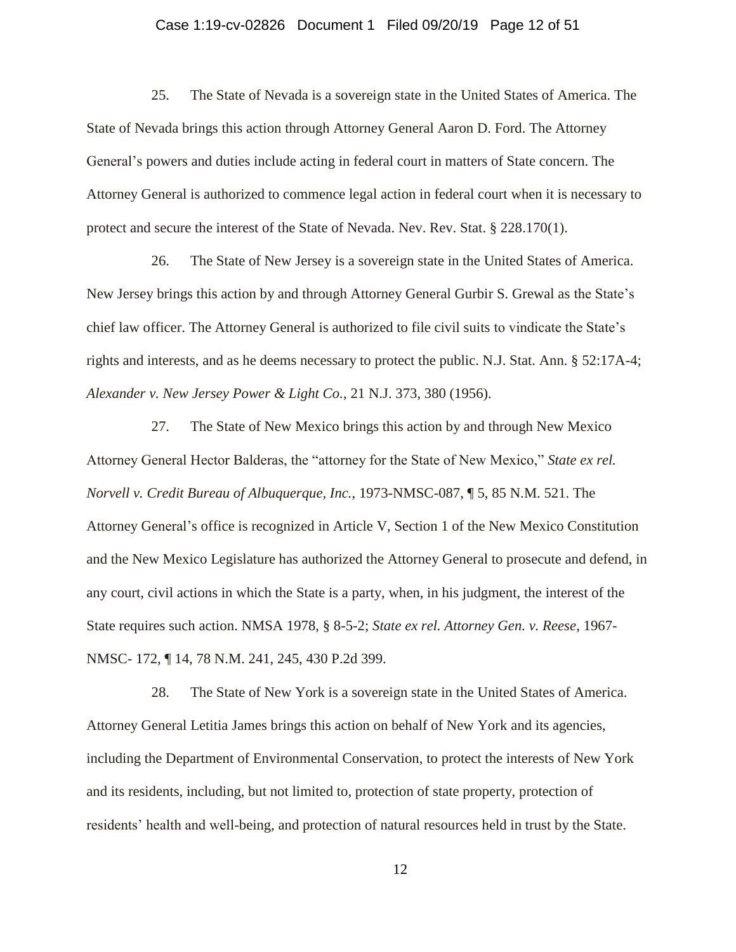### Case 1:19-cv-02826 Document 1 Filed 09/20/19 Page 12 of 51

25. The State of Nevada is a sovereign state in the United States of America. The State of Nevada brings this action through Attorney General Aaron D. Ford. The Attorney General's powers and duties include acting in federal court in matters of State concern. The Attorney General is authorized to commence legal action in federal court when it is necessary to protect and secure the interest of the State of Nevada. Nev. Rev. Stat. § 228.170(1).

26. The State of New Jersey is a sovereign state in the United States of America. New Jersey brings this action by and through Attorney General Gurbir S. Grewal as the State's chief law officer. The Attorney General is authorized to file civil suits to vindicate the State's rights and interests, and as he deems necessary to protect the public. N.J. Stat. Ann. § 52:17A-4; *Alexander v. New Jersey Power & Light Co.*, 21 N.J. 373, 380 (1956).

27. The State of New Mexico brings this action by and through New Mexico Attorney General Hector Balderas, the "attorney for the State of New Mexico," *State ex rel. Norvell v. Credit Bureau of Albuquerque, Inc.*, 1973-NMSC-087, ¶ 5, 85 N.M. 521. The Attorney General's office is recognized in Article V, Section 1 of the New Mexico Constitution and the New Mexico Legislature has authorized the Attorney General to prosecute and defend, in any court, civil actions in which the State is a party, when, in his judgment, the interest of the State requires such action. NMSA 1978, § 8-5-2; *State ex rel. Attorney Gen. v. Reese*, 1967- NMSC- 172, ¶ 14, 78 N.M. 241, 245, 430 P.2d 399.

28. The State of New York is a sovereign state in the United States of America. Attorney General Letitia James brings this action on behalf of New York and its agencies, including the Department of Environmental Conservation, to protect the interests of New York and its residents, including, but not limited to, protection of state property, protection of residents' health and well-being, and protection of natural resources held in trust by the State.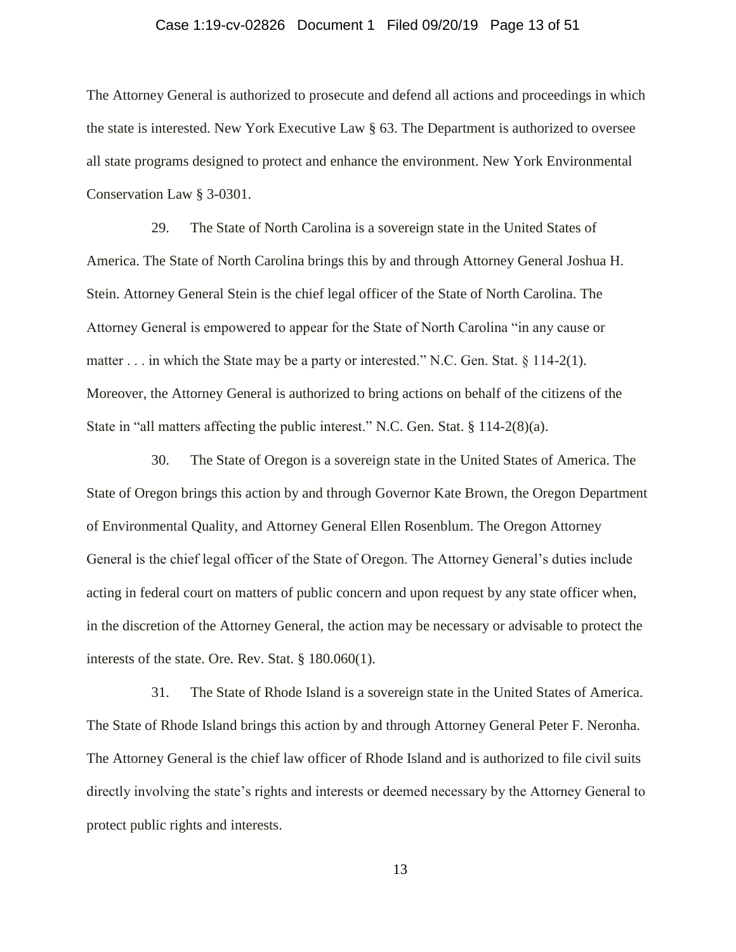### Case 1:19-cv-02826 Document 1 Filed 09/20/19 Page 13 of 51

The Attorney General is authorized to prosecute and defend all actions and proceedings in which the state is interested. New York Executive Law § 63. The Department is authorized to oversee all state programs designed to protect and enhance the environment. New York Environmental Conservation Law § 3-0301.

29. The State of North Carolina is a sovereign state in the United States of America. The State of North Carolina brings this by and through Attorney General Joshua H. Stein. Attorney General Stein is the chief legal officer of the State of North Carolina. The Attorney General is empowered to appear for the State of North Carolina "in any cause or matter . . . in which the State may be a party or interested." N.C. Gen. Stat.  $\S 114-2(1)$ . Moreover, the Attorney General is authorized to bring actions on behalf of the citizens of the State in "all matters affecting the public interest." N.C. Gen. Stat. § 114-2(8)(a).

30. The State of Oregon is a sovereign state in the United States of America. The State of Oregon brings this action by and through Governor Kate Brown, the Oregon Department of Environmental Quality, and Attorney General Ellen Rosenblum. The Oregon Attorney General is the chief legal officer of the State of Oregon. The Attorney General's duties include acting in federal court on matters of public concern and upon request by any state officer when, in the discretion of the Attorney General, the action may be necessary or advisable to protect the interests of the state. Ore. Rev. Stat. § 180.060(1).

31. The State of Rhode Island is a sovereign state in the United States of America. The State of Rhode Island brings this action by and through Attorney General Peter F. Neronha. The Attorney General is the chief law officer of Rhode Island and is authorized to file civil suits directly involving the state's rights and interests or deemed necessary by the Attorney General to protect public rights and interests.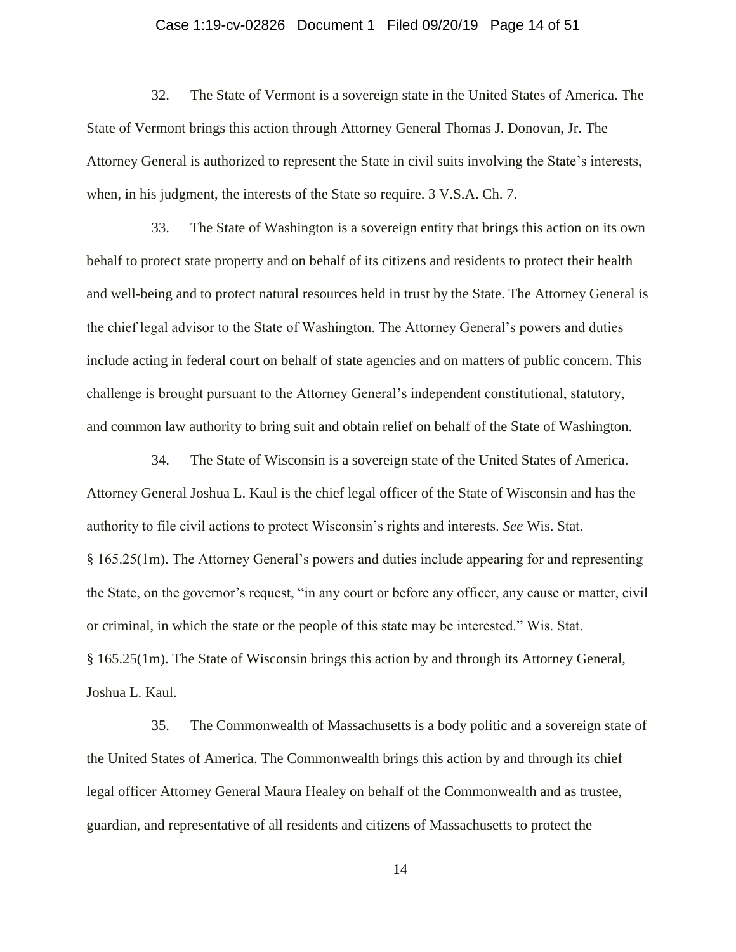#### Case 1:19-cv-02826 Document 1 Filed 09/20/19 Page 14 of 51

32. The State of Vermont is a sovereign state in the United States of America. The State of Vermont brings this action through Attorney General Thomas J. Donovan, Jr. The Attorney General is authorized to represent the State in civil suits involving the State's interests, when, in his judgment, the interests of the State so require. 3 V.S.A. Ch. 7.

33. The State of Washington is a sovereign entity that brings this action on its own behalf to protect state property and on behalf of its citizens and residents to protect their health and well-being and to protect natural resources held in trust by the State. The Attorney General is the chief legal advisor to the State of Washington. The Attorney General's powers and duties include acting in federal court on behalf of state agencies and on matters of public concern. This challenge is brought pursuant to the Attorney General's independent constitutional, statutory, and common law authority to bring suit and obtain relief on behalf of the State of Washington.

34. The State of Wisconsin is a sovereign state of the United States of America. Attorney General Joshua L. Kaul is the chief legal officer of the State of Wisconsin and has the authority to file civil actions to protect Wisconsin's rights and interests. *See* Wis. Stat. § 165.25(1m). The Attorney General's powers and duties include appearing for and representing the State, on the governor's request, "in any court or before any officer, any cause or matter, civil or criminal, in which the state or the people of this state may be interested." Wis. Stat. § 165.25(1m). The State of Wisconsin brings this action by and through its Attorney General, Joshua L. Kaul.

35. The Commonwealth of Massachusetts is a body politic and a sovereign state of the United States of America. The Commonwealth brings this action by and through its chief legal officer Attorney General Maura Healey on behalf of the Commonwealth and as trustee, guardian, and representative of all residents and citizens of Massachusetts to protect the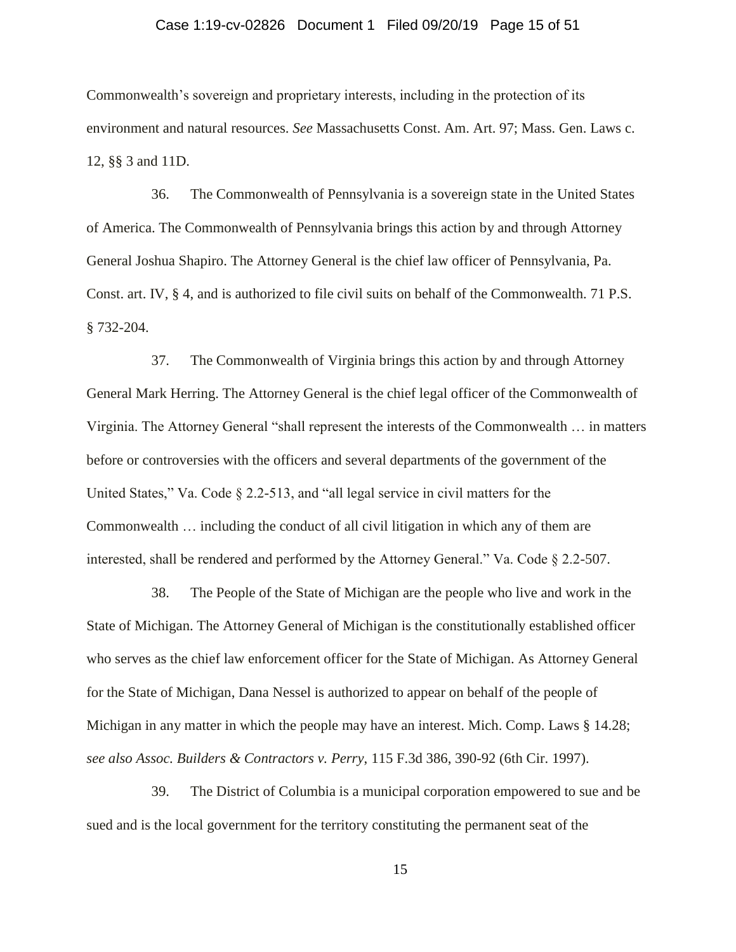### Case 1:19-cv-02826 Document 1 Filed 09/20/19 Page 15 of 51

Commonwealth's sovereign and proprietary interests, including in the protection of its environment and natural resources. *See* Massachusetts Const. Am. Art. 97; Mass. Gen. Laws c. 12, §§ 3 and 11D.

36. The Commonwealth of Pennsylvania is a sovereign state in the United States of America. The Commonwealth of Pennsylvania brings this action by and through Attorney General Joshua Shapiro. The Attorney General is the chief law officer of Pennsylvania, Pa. Const. art. IV, § 4, and is authorized to file civil suits on behalf of the Commonwealth. 71 P.S. § 732-204.

37. The Commonwealth of Virginia brings this action by and through Attorney General Mark Herring. The Attorney General is the chief legal officer of the Commonwealth of Virginia. The Attorney General "shall represent the interests of the Commonwealth … in matters before or controversies with the officers and several departments of the government of the United States," Va. Code § 2.2-513, and "all legal service in civil matters for the Commonwealth … including the conduct of all civil litigation in which any of them are interested, shall be rendered and performed by the Attorney General." Va. Code § 2.2-507.

38. The People of the State of Michigan are the people who live and work in the State of Michigan. The Attorney General of Michigan is the constitutionally established officer who serves as the chief law enforcement officer for the State of Michigan. As Attorney General for the State of Michigan, Dana Nessel is authorized to appear on behalf of the people of Michigan in any matter in which the people may have an interest. Mich. Comp. Laws § 14.28; *see also Assoc. Builders & Contractors v. Perry*, 115 F.3d 386, 390-92 (6th Cir. 1997).

39. The District of Columbia is a municipal corporation empowered to sue and be sued and is the local government for the territory constituting the permanent seat of the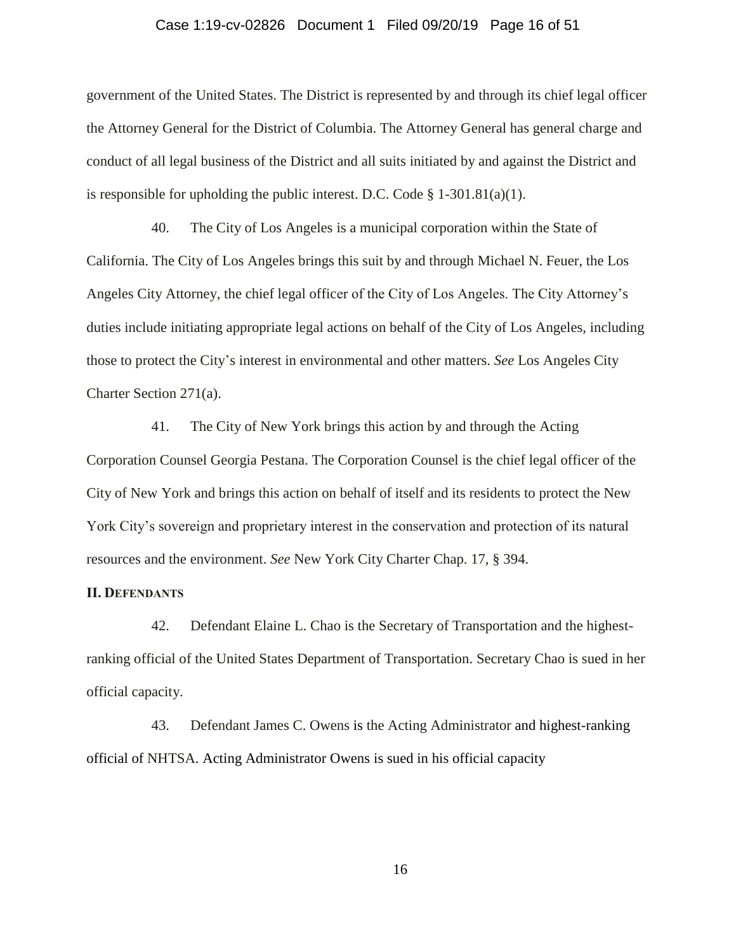### Case 1:19-cv-02826 Document 1 Filed 09/20/19 Page 16 of 51

government of the United States. The District is represented by and through its chief legal officer the Attorney General for the District of Columbia. The Attorney General has general charge and conduct of all legal business of the District and all suits initiated by and against the District and is responsible for upholding the public interest. D.C. Code  $\S$  1-301.81(a)(1).

40. The City of Los Angeles is a municipal corporation within the State of California. The City of Los Angeles brings this suit by and through Michael N. Feuer, the Los Angeles City Attorney, the chief legal officer of the City of Los Angeles. The City Attorney's duties include initiating appropriate legal actions on behalf of the City of Los Angeles, including those to protect the City's interest in environmental and other matters. *See* Los Angeles City Charter Section 271(a).

41. The City of New York brings this action by and through the Acting Corporation Counsel Georgia Pestana. The Corporation Counsel is the chief legal officer of the City of New York and brings this action on behalf of itself and its residents to protect the New York City's sovereign and proprietary interest in the conservation and protection of its natural resources and the environment. *See* New York City Charter Chap. 17, § 394.

#### **II. DEFENDANTS**

42. Defendant Elaine L. Chao is the Secretary of Transportation and the highestranking official of the United States Department of Transportation. Secretary Chao is sued in her official capacity.

43. Defendant James C. Owens is the Acting Administrator and highest-ranking official of NHTSA. Acting Administrator Owens is sued in his official capacity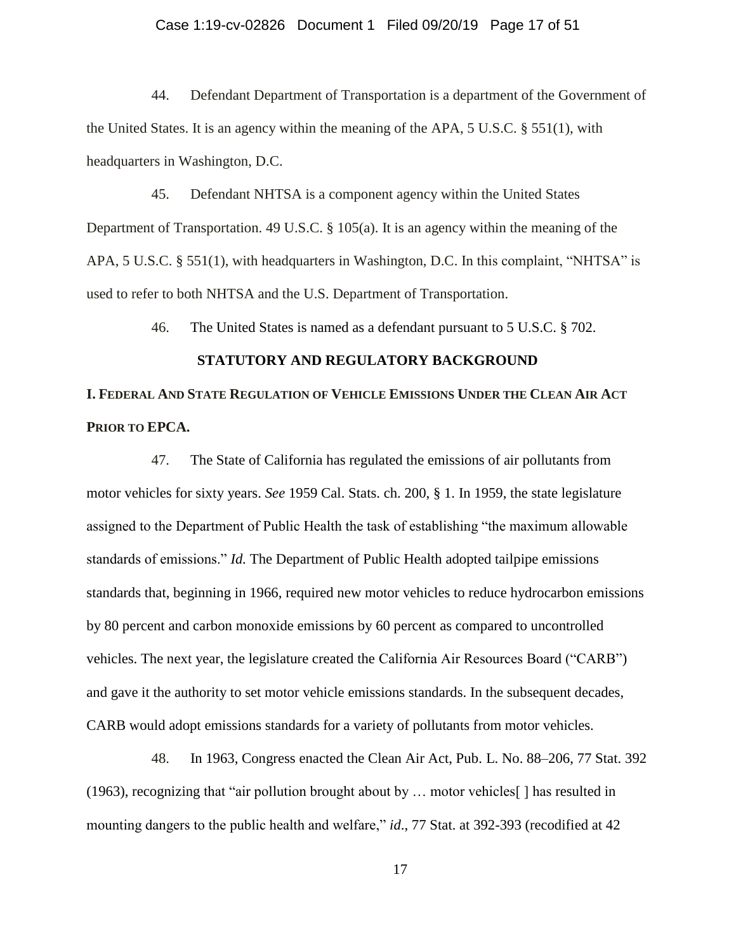### Case 1:19-cv-02826 Document 1 Filed 09/20/19 Page 17 of 51

44. Defendant Department of Transportation is a department of the Government of the United States. It is an agency within the meaning of the APA, 5 U.S.C. § 551(1), with headquarters in Washington, D.C.

45. Defendant NHTSA is a component agency within the United States Department of Transportation. 49 U.S.C. § 105(a). It is an agency within the meaning of the APA, 5 U.S.C. § 551(1), with headquarters in Washington, D.C. In this complaint, "NHTSA" is used to refer to both NHTSA and the U.S. Department of Transportation.

46. The United States is named as a defendant pursuant to 5 U.S.C. § 702.

#### **STATUTORY AND REGULATORY BACKGROUND**

# **I. FEDERAL AND STATE REGULATION OF VEHICLE EMISSIONS UNDER THE CLEAN AIR ACT PRIOR TO EPCA.**

47. The State of California has regulated the emissions of air pollutants from motor vehicles for sixty years. *See* 1959 Cal. Stats. ch. 200, § 1. In 1959, the state legislature assigned to the Department of Public Health the task of establishing "the maximum allowable standards of emissions." *Id.* The Department of Public Health adopted tailpipe emissions standards that, beginning in 1966, required new motor vehicles to reduce hydrocarbon emissions by 80 percent and carbon monoxide emissions by 60 percent as compared to uncontrolled vehicles. The next year, the legislature created the California Air Resources Board ("CARB") and gave it the authority to set motor vehicle emissions standards. In the subsequent decades, CARB would adopt emissions standards for a variety of pollutants from motor vehicles.

48. In 1963, Congress enacted the Clean Air Act, Pub. L. No. 88–206, 77 Stat. 392 (1963), recognizing that "air pollution brought about by … motor vehicles[ ] has resulted in mounting dangers to the public health and welfare," *id.*, 77 Stat. at 392-393 (recodified at 42)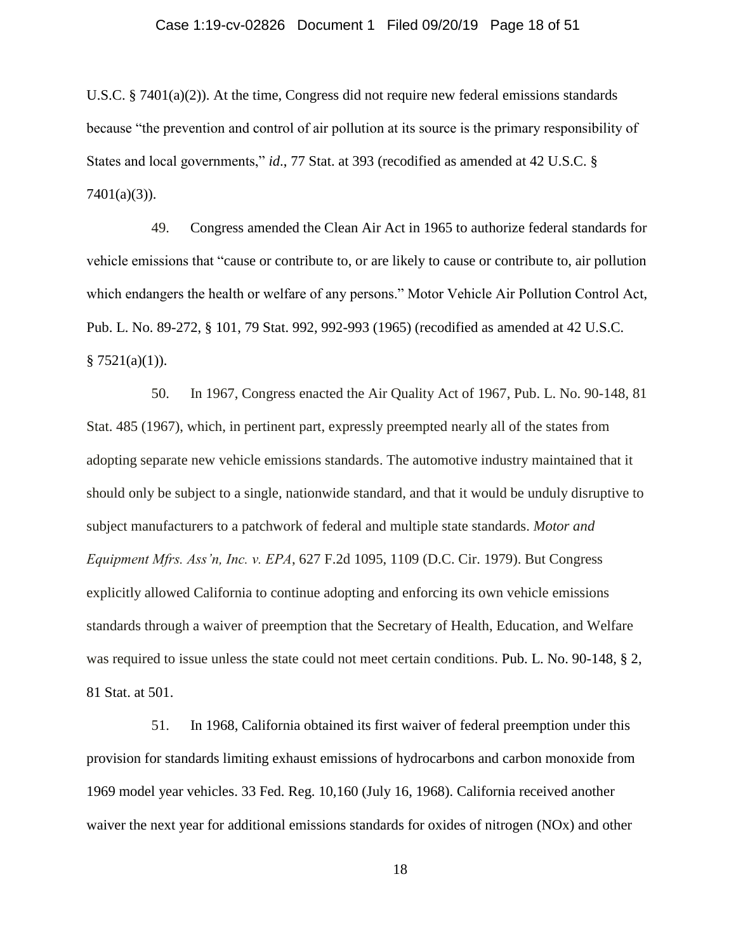U.S.C. § 7401(a)(2)). At the time, Congress did not require new federal emissions standards because "the prevention and control of air pollution at its source is the primary responsibility of States and local governments," *id*., 77 Stat. at 393 (recodified as amended at 42 U.S.C. §  $7401(a)(3)$ ).

49. Congress amended the Clean Air Act in 1965 to authorize federal standards for vehicle emissions that "cause or contribute to, or are likely to cause or contribute to, air pollution which endangers the health or welfare of any persons." Motor Vehicle Air Pollution Control Act, Pub. L. No. 89-272, § 101, 79 Stat. 992, 992-993 (1965) (recodified as amended at 42 U.S.C.  $§ 7521(a)(1)).$ 

50. In 1967, Congress enacted the Air Quality Act of 1967, Pub. L. No. 90-148, 81 Stat. 485 (1967), which, in pertinent part, expressly preempted nearly all of the states from adopting separate new vehicle emissions standards. The automotive industry maintained that it should only be subject to a single, nationwide standard, and that it would be unduly disruptive to subject manufacturers to a patchwork of federal and multiple state standards. *Motor and Equipment Mfrs. Ass'n, Inc. v. EPA*, 627 F.2d 1095, 1109 (D.C. Cir. 1979). But Congress explicitly allowed California to continue adopting and enforcing its own vehicle emissions standards through a waiver of preemption that the Secretary of Health, Education, and Welfare was required to issue unless the state could not meet certain conditions. Pub. L. No. 90-148, § 2, 81 Stat. at 501.

51. In 1968, California obtained its first waiver of federal preemption under this provision for standards limiting exhaust emissions of hydrocarbons and carbon monoxide from 1969 model year vehicles. 33 Fed. Reg. 10,160 (July 16, 1968). California received another waiver the next year for additional emissions standards for oxides of nitrogen (NOx) and other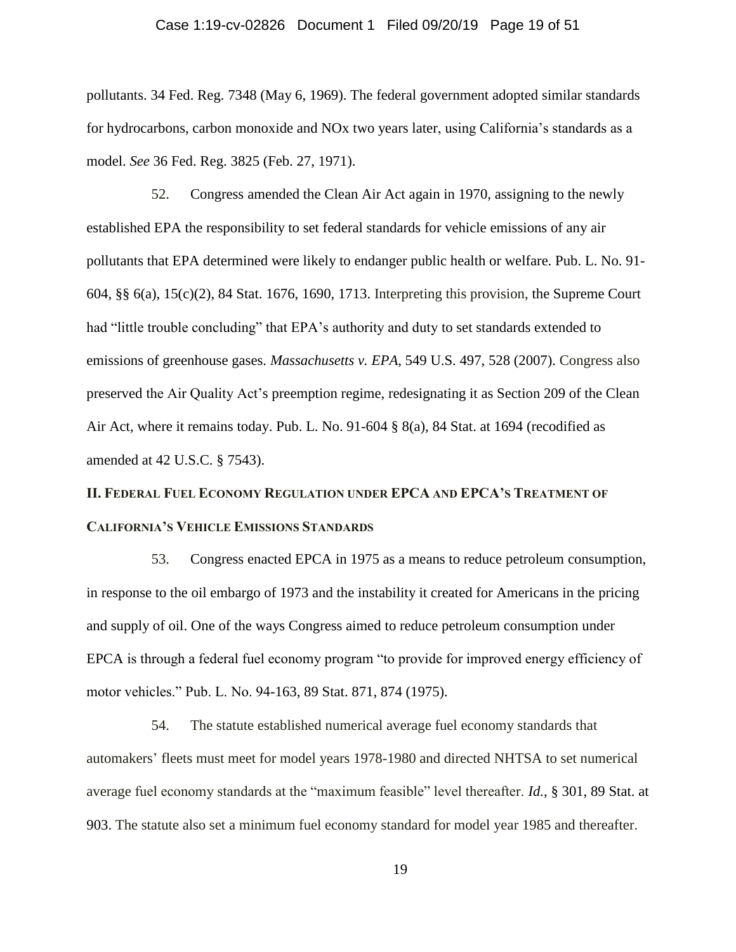### Case 1:19-cv-02826 Document 1 Filed 09/20/19 Page 19 of 51

pollutants. 34 Fed. Reg. 7348 (May 6, 1969). The federal government adopted similar standards for hydrocarbons, carbon monoxide and NOx two years later, using California's standards as a model. *See* 36 Fed. Reg. 3825 (Feb. 27, 1971).

52. Congress amended the Clean Air Act again in 1970, assigning to the newly established EPA the responsibility to set federal standards for vehicle emissions of any air pollutants that EPA determined were likely to endanger public health or welfare. Pub. L. No. 91- 604, §§ 6(a), 15(c)(2), 84 Stat. 1676, 1690, 1713. Interpreting this provision, the Supreme Court had "little trouble concluding" that EPA's authority and duty to set standards extended to emissions of greenhouse gases. *Massachusetts v. EPA*, 549 U.S. 497, 528 (2007). Congress also preserved the Air Quality Act's preemption regime, redesignating it as Section 209 of the Clean Air Act, where it remains today. Pub. L. No. 91-604 § 8(a), 84 Stat. at 1694 (recodified as amended at 42 U.S.C. § 7543).

# **II. FEDERAL FUEL ECONOMY REGULATION UNDER EPCA AND EPCA'S TREATMENT OF CALIFORNIA'S VEHICLE EMISSIONS STANDARDS**

53. Congress enacted EPCA in 1975 as a means to reduce petroleum consumption, in response to the oil embargo of 1973 and the instability it created for Americans in the pricing and supply of oil. One of the ways Congress aimed to reduce petroleum consumption under EPCA is through a federal fuel economy program "to provide for improved energy efficiency of motor vehicles." Pub. L. No. 94-163, 89 Stat. 871, 874 (1975).

54. The statute established numerical average fuel economy standards that automakers' fleets must meet for model years 1978-1980 and directed NHTSA to set numerical average fuel economy standards at the "maximum feasible" level thereafter. *Id.*, § 301, 89 Stat. at 903. The statute also set a minimum fuel economy standard for model year 1985 and thereafter.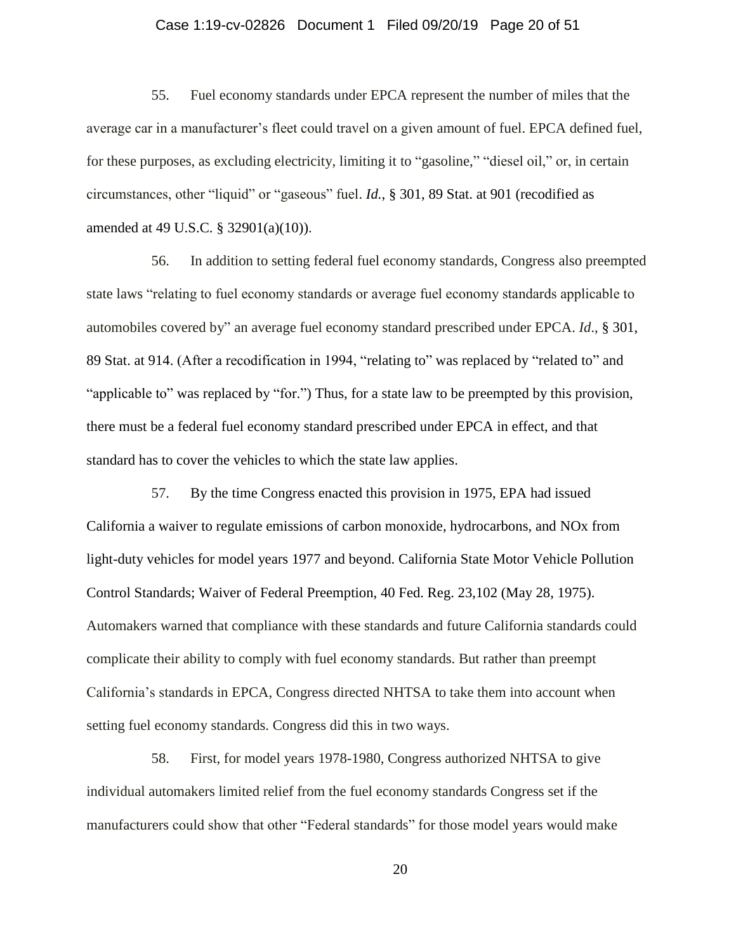### Case 1:19-cv-02826 Document 1 Filed 09/20/19 Page 20 of 51

55. Fuel economy standards under EPCA represent the number of miles that the average car in a manufacturer's fleet could travel on a given amount of fuel. EPCA defined fuel, for these purposes, as excluding electricity, limiting it to "gasoline," "diesel oil," or, in certain circumstances, other "liquid" or "gaseous" fuel. *Id.*, § 301, 89 Stat. at 901 (recodified as amended at 49 U.S.C. § 32901(a)(10)).

56. In addition to setting federal fuel economy standards, Congress also preempted state laws "relating to fuel economy standards or average fuel economy standards applicable to automobiles covered by" an average fuel economy standard prescribed under EPCA. *Id*., § 301, 89 Stat. at 914. (After a recodification in 1994, "relating to" was replaced by "related to" and "applicable to" was replaced by "for.") Thus, for a state law to be preempted by this provision, there must be a federal fuel economy standard prescribed under EPCA in effect, and that standard has to cover the vehicles to which the state law applies.

57. By the time Congress enacted this provision in 1975, EPA had issued California a waiver to regulate emissions of carbon monoxide, hydrocarbons, and NOx from light-duty vehicles for model years 1977 and beyond. California State Motor Vehicle Pollution Control Standards; Waiver of Federal Preemption, 40 Fed. Reg. 23,102 (May 28, 1975). Automakers warned that compliance with these standards and future California standards could complicate their ability to comply with fuel economy standards. But rather than preempt California's standards in EPCA, Congress directed NHTSA to take them into account when setting fuel economy standards. Congress did this in two ways.

58. First, for model years 1978-1980, Congress authorized NHTSA to give individual automakers limited relief from the fuel economy standards Congress set if the manufacturers could show that other "Federal standards" for those model years would make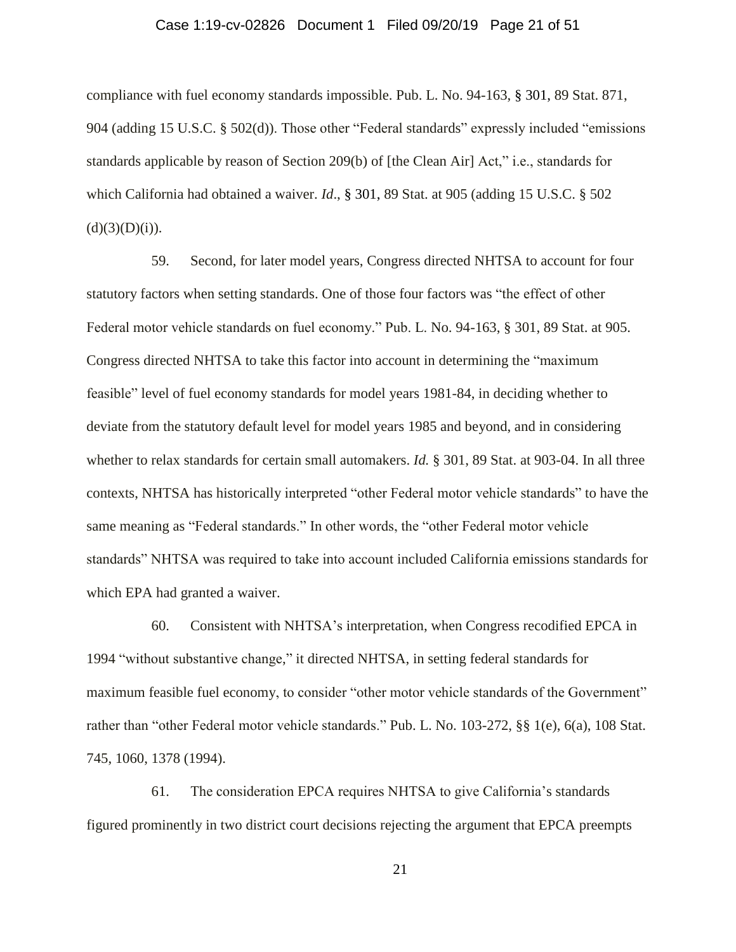### Case 1:19-cv-02826 Document 1 Filed 09/20/19 Page 21 of 51

compliance with fuel economy standards impossible. Pub. L. No. 94-163, § 301, 89 Stat. 871, 904 (adding 15 U.S.C. § 502(d)). Those other "Federal standards" expressly included "emissions standards applicable by reason of Section 209(b) of [the Clean Air] Act," i.e., standards for which California had obtained a waiver. *Id*., § 301, 89 Stat. at 905 (adding 15 U.S.C. § 502  $(d)(3)(D)(i)).$ 

59. Second, for later model years, Congress directed NHTSA to account for four statutory factors when setting standards. One of those four factors was "the effect of other Federal motor vehicle standards on fuel economy." Pub. L. No. 94-163, § 301, 89 Stat. at 905. Congress directed NHTSA to take this factor into account in determining the "maximum feasible" level of fuel economy standards for model years 1981-84, in deciding whether to deviate from the statutory default level for model years 1985 and beyond, and in considering whether to relax standards for certain small automakers. *Id.* § 301, 89 Stat. at 903-04. In all three contexts, NHTSA has historically interpreted "other Federal motor vehicle standards" to have the same meaning as "Federal standards." In other words, the "other Federal motor vehicle standards" NHTSA was required to take into account included California emissions standards for which EPA had granted a waiver.

60. Consistent with NHTSA's interpretation, when Congress recodified EPCA in 1994 "without substantive change," it directed NHTSA, in setting federal standards for maximum feasible fuel economy, to consider "other motor vehicle standards of the Government" rather than "other Federal motor vehicle standards." Pub. L. No. 103-272, §§ 1(e), 6(a), 108 Stat. 745, 1060, 1378 (1994).

61. The consideration EPCA requires NHTSA to give California's standards figured prominently in two district court decisions rejecting the argument that EPCA preempts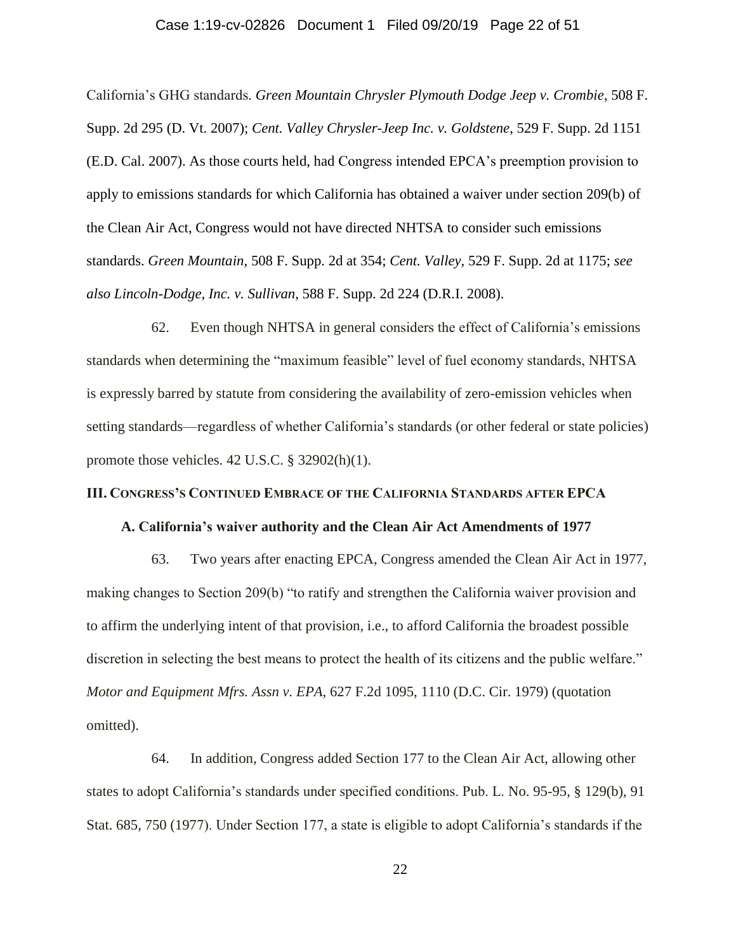### Case 1:19-cv-02826 Document 1 Filed 09/20/19 Page 22 of 51

California's GHG standards. *Green Mountain Chrysler Plymouth Dodge Jeep v. Crombie*, 508 F. Supp. 2d 295 (D. Vt. 2007); *Cent. Valley Chrysler-Jeep Inc. v. Goldstene*, 529 F. Supp. 2d 1151 (E.D. Cal. 2007). As those courts held, had Congress intended EPCA's preemption provision to apply to emissions standards for which California has obtained a waiver under section 209(b) of the Clean Air Act, Congress would not have directed NHTSA to consider such emissions standards. *Green Mountain*, 508 F. Supp. 2d at 354; *Cent. Valley,* 529 F. Supp. 2d at 1175; *see also Lincoln-Dodge, Inc. v. Sullivan*, 588 F. Supp. 2d 224 (D.R.I. 2008).

62. Even though NHTSA in general considers the effect of California's emissions standards when determining the "maximum feasible" level of fuel economy standards, NHTSA is expressly barred by statute from considering the availability of zero-emission vehicles when setting standards—regardless of whether California's standards (or other federal or state policies) promote those vehicles. 42 U.S.C. § 32902(h)(1).

#### **III. CONGRESS'S CONTINUED EMBRACE OF THE CALIFORNIA STANDARDS AFTER EPCA**

#### **A. California's waiver authority and the Clean Air Act Amendments of 1977**

63. Two years after enacting EPCA, Congress amended the Clean Air Act in 1977, making changes to Section 209(b) "to ratify and strengthen the California waiver provision and to affirm the underlying intent of that provision, i.e., to afford California the broadest possible discretion in selecting the best means to protect the health of its citizens and the public welfare." *Motor and Equipment Mfrs. Assn v. EPA*, 627 F.2d 1095, 1110 (D.C. Cir. 1979) (quotation omitted).

64. In addition, Congress added Section 177 to the Clean Air Act, allowing other states to adopt California's standards under specified conditions. Pub. L. No. 95-95, § 129(b), 91 Stat. 685, 750 (1977). Under Section 177, a state is eligible to adopt California's standards if the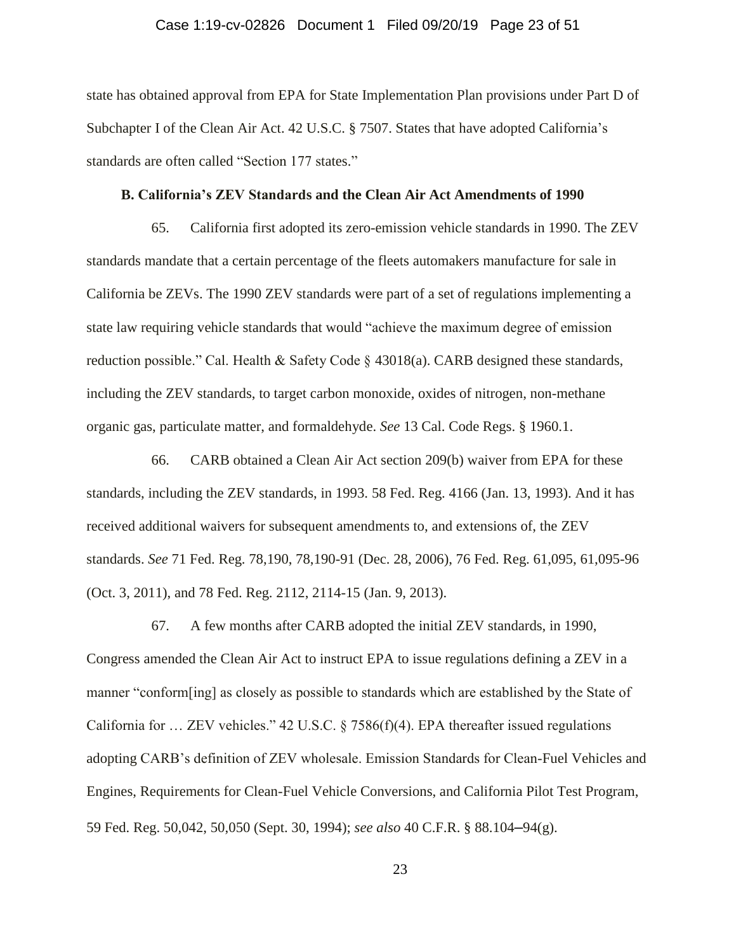### Case 1:19-cv-02826 Document 1 Filed 09/20/19 Page 23 of 51

state has obtained approval from EPA for State Implementation Plan provisions under Part D of Subchapter I of the Clean Air Act. 42 U.S.C. § 7507. States that have adopted California's standards are often called "Section 177 states."

#### **B. California's ZEV Standards and the Clean Air Act Amendments of 1990**

65. California first adopted its zero-emission vehicle standards in 1990. The ZEV standards mandate that a certain percentage of the fleets automakers manufacture for sale in California be ZEVs. The 1990 ZEV standards were part of a set of regulations implementing a state law requiring vehicle standards that would "achieve the maximum degree of emission reduction possible." Cal. Health & Safety Code  $\S$  43018(a). CARB designed these standards, including the ZEV standards, to target carbon monoxide, oxides of nitrogen, non-methane organic gas, particulate matter, and formaldehyde. *See* 13 Cal. Code Regs. § 1960.1.

66. CARB obtained a Clean Air Act section 209(b) waiver from EPA for these standards, including the ZEV standards, in 1993. 58 Fed. Reg. 4166 (Jan. 13, 1993). And it has received additional waivers for subsequent amendments to, and extensions of, the ZEV standards. *See* 71 Fed. Reg. 78,190, 78,190-91 (Dec. 28, 2006), 76 Fed. Reg. 61,095, 61,095-96 (Oct. 3, 2011), and 78 Fed. Reg. 2112, 2114-15 (Jan. 9, 2013).

67. A few months after CARB adopted the initial ZEV standards, in 1990, Congress amended the Clean Air Act to instruct EPA to issue regulations defining a ZEV in a manner "conform[ing] as closely as possible to standards which are established by the State of California for ... ZEV vehicles." 42 U.S.C. § 7586(f)(4). EPA thereafter issued regulations adopting CARB's definition of ZEV wholesale. Emission Standards for Clean-Fuel Vehicles and Engines, Requirements for Clean-Fuel Vehicle Conversions, and California Pilot Test Program, 59 Fed. Reg. 50,042, 50,050 (Sept. 30, 1994); *see also* 40 C.F.R. § 88.104**–**94(g).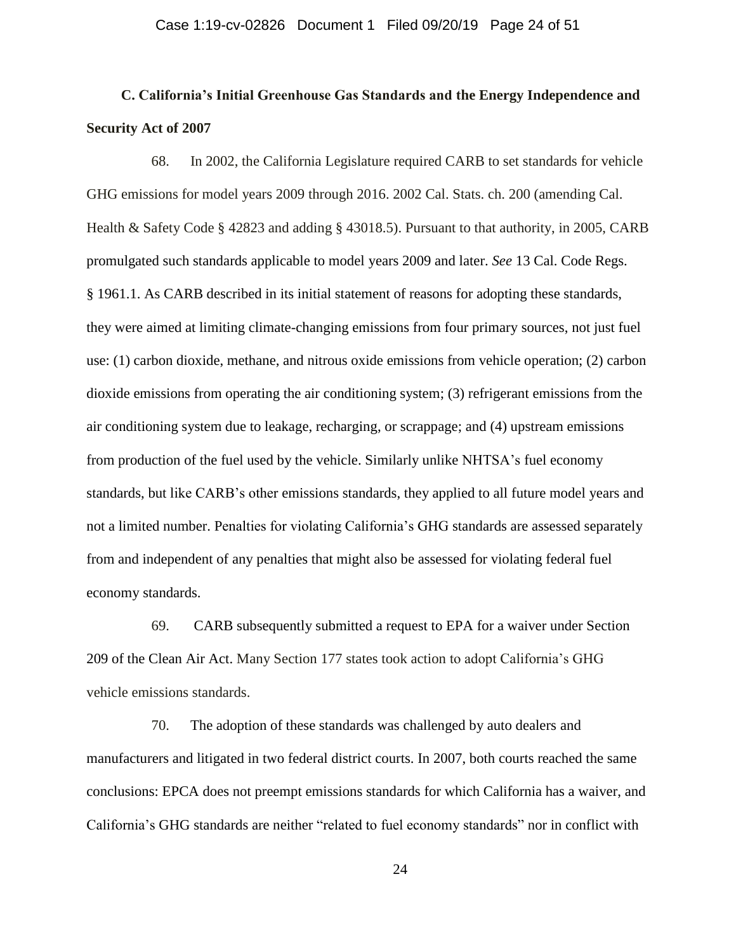# **C. California's Initial Greenhouse Gas Standards and the Energy Independence and Security Act of 2007**

68. In 2002, the California Legislature required CARB to set standards for vehicle GHG emissions for model years 2009 through 2016. 2002 Cal. Stats. ch. 200 (amending Cal. Health & Safety Code § 42823 and adding § 43018.5). Pursuant to that authority, in 2005, CARB promulgated such standards applicable to model years 2009 and later. *See* 13 Cal. Code Regs. § 1961.1. As CARB described in its initial statement of reasons for adopting these standards, they were aimed at limiting climate-changing emissions from four primary sources, not just fuel use: (1) carbon dioxide, methane, and nitrous oxide emissions from vehicle operation; (2) carbon dioxide emissions from operating the air conditioning system; (3) refrigerant emissions from the air conditioning system due to leakage, recharging, or scrappage; and (4) upstream emissions from production of the fuel used by the vehicle. Similarly unlike NHTSA's fuel economy standards, but like CARB's other emissions standards, they applied to all future model years and not a limited number. Penalties for violating California's GHG standards are assessed separately from and independent of any penalties that might also be assessed for violating federal fuel economy standards.

69. CARB subsequently submitted a request to EPA for a waiver under Section 209 of the Clean Air Act. Many Section 177 states took action to adopt California's GHG vehicle emissions standards.

70. The adoption of these standards was challenged by auto dealers and manufacturers and litigated in two federal district courts. In 2007, both courts reached the same conclusions: EPCA does not preempt emissions standards for which California has a waiver, and California's GHG standards are neither "related to fuel economy standards" nor in conflict with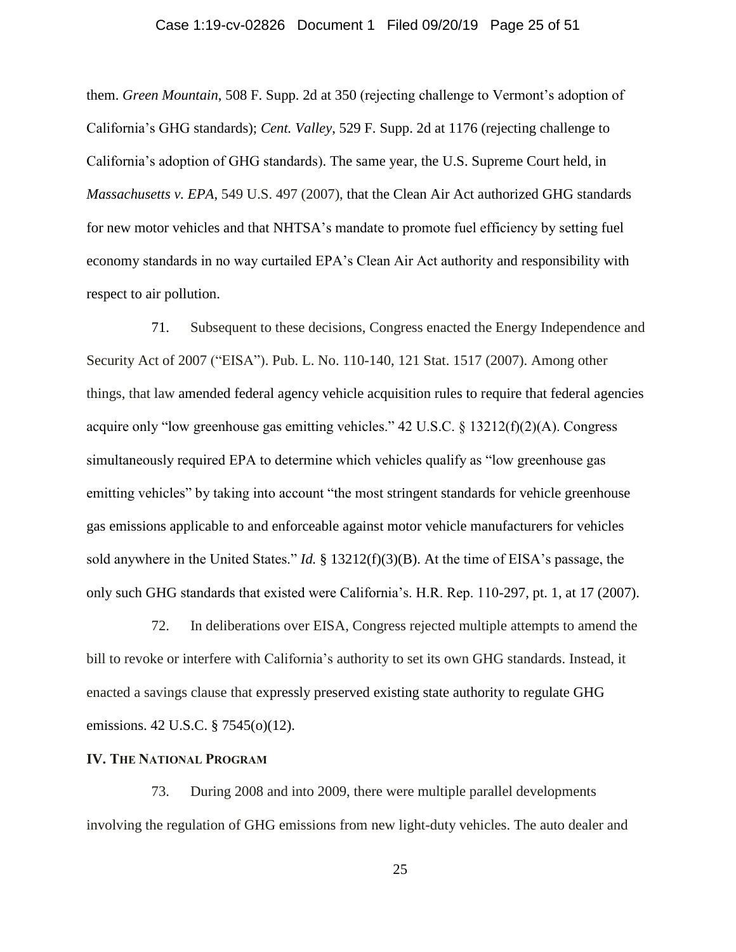### Case 1:19-cv-02826 Document 1 Filed 09/20/19 Page 25 of 51

them. *Green Mountain*, 508 F. Supp. 2d at 350 (rejecting challenge to Vermont's adoption of California's GHG standards); *Cent. Valley*, 529 F. Supp. 2d at 1176 (rejecting challenge to California's adoption of GHG standards). The same year, the U.S. Supreme Court held, in *Massachusetts v. EPA*, 549 U.S. 497 (2007), that the Clean Air Act authorized GHG standards for new motor vehicles and that NHTSA's mandate to promote fuel efficiency by setting fuel economy standards in no way curtailed EPA's Clean Air Act authority and responsibility with respect to air pollution.

71. Subsequent to these decisions, Congress enacted the Energy Independence and Security Act of 2007 ("EISA"). Pub. L. No. 110-140, 121 Stat. 1517 (2007). Among other things, that law amended federal agency vehicle acquisition rules to require that federal agencies acquire only "low greenhouse gas emitting vehicles." 42 U.S.C. § 13212(f)(2)(A). Congress simultaneously required EPA to determine which vehicles qualify as "low greenhouse gas emitting vehicles" by taking into account "the most stringent standards for vehicle greenhouse gas emissions applicable to and enforceable against motor vehicle manufacturers for vehicles sold anywhere in the United States." *Id.* § 13212(f)(3)(B). At the time of EISA's passage, the only such GHG standards that existed were California's. H.R. Rep. 110-297, pt. 1, at 17 (2007).

72. In deliberations over EISA, Congress rejected multiple attempts to amend the bill to revoke or interfere with California's authority to set its own GHG standards. Instead, it enacted a savings clause that expressly preserved existing state authority to regulate GHG emissions. 42 U.S.C. § 7545(o)(12).

## **IV. THE NATIONAL PROGRAM**

73. During 2008 and into 2009, there were multiple parallel developments involving the regulation of GHG emissions from new light-duty vehicles. The auto dealer and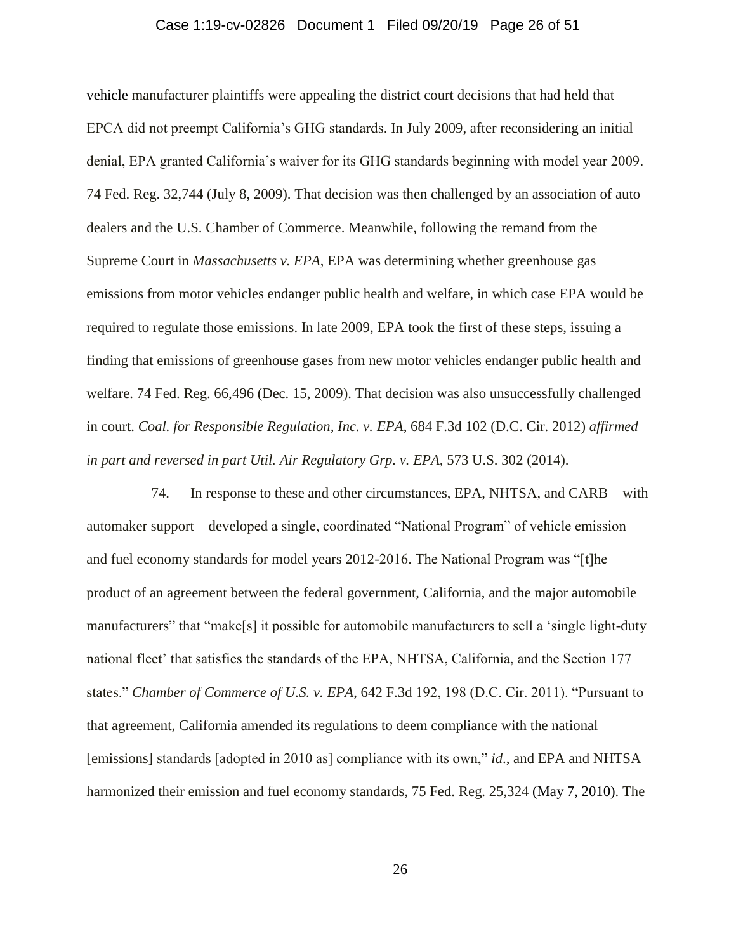### Case 1:19-cv-02826 Document 1 Filed 09/20/19 Page 26 of 51

vehicle manufacturer plaintiffs were appealing the district court decisions that had held that EPCA did not preempt California's GHG standards. In July 2009, after reconsidering an initial denial, EPA granted California's waiver for its GHG standards beginning with model year 2009. 74 Fed. Reg. 32,744 (July 8, 2009). That decision was then challenged by an association of auto dealers and the U.S. Chamber of Commerce. Meanwhile, following the remand from the Supreme Court in *Massachusetts v. EPA*, EPA was determining whether greenhouse gas emissions from motor vehicles endanger public health and welfare, in which case EPA would be required to regulate those emissions. In late 2009, EPA took the first of these steps, issuing a finding that emissions of greenhouse gases from new motor vehicles endanger public health and welfare. 74 Fed. Reg. 66,496 (Dec. 15, 2009). That decision was also unsuccessfully challenged in court. *Coal. for Responsible Regulation, Inc. v. EPA*, 684 F.3d 102 (D.C. Cir. 2012) *affirmed in part and reversed in part Util. Air Regulatory Grp. v. EPA,* 573 U.S. 302 (2014).

74. In response to these and other circumstances, EPA, NHTSA, and CARB—with automaker support—developed a single, coordinated "National Program" of vehicle emission and fuel economy standards for model years 2012-2016. The National Program was "[t]he product of an agreement between the federal government, California, and the major automobile manufacturers" that "make[s] it possible for automobile manufacturers to sell a 'single light-duty national fleet' that satisfies the standards of the EPA, NHTSA, California, and the Section 177 states." *Chamber of Commerce of U.S. v. EPA*, 642 F.3d 192, 198 (D.C. Cir. 2011). "Pursuant to that agreement, California amended its regulations to deem compliance with the national [emissions] standards [adopted in 2010 as] compliance with its own," *id*., and EPA and NHTSA harmonized their emission and fuel economy standards, 75 Fed. Reg. 25,324 (May 7, 2010). The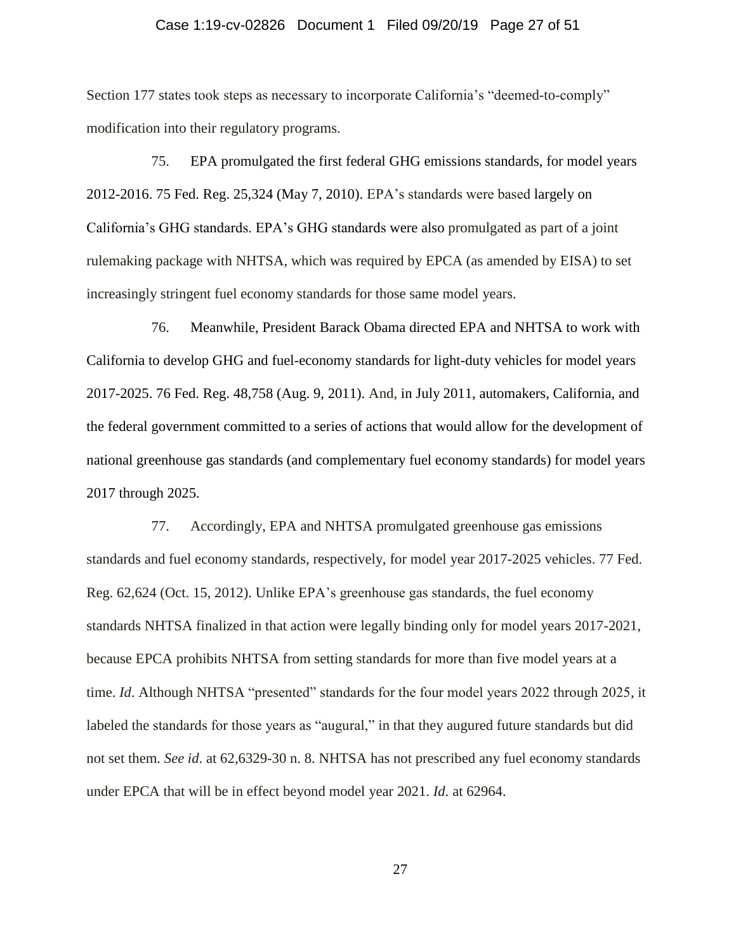#### Case 1:19-cv-02826 Document 1 Filed 09/20/19 Page 27 of 51

Section 177 states took steps as necessary to incorporate California's "deemed-to-comply" modification into their regulatory programs.

75. EPA promulgated the first federal GHG emissions standards, for model years 2012-2016. 75 Fed. Reg. 25,324 (May 7, 2010). EPA's standards were based largely on California's GHG standards. EPA's GHG standards were also promulgated as part of a joint rulemaking package with NHTSA, which was required by EPCA (as amended by EISA) to set increasingly stringent fuel economy standards for those same model years.

76. Meanwhile, President Barack Obama directed EPA and NHTSA to work with California to develop GHG and fuel-economy standards for light-duty vehicles for model years 2017-2025. 76 Fed. Reg. 48,758 (Aug. 9, 2011). And, in July 2011, automakers, California, and the federal government committed to a series of actions that would allow for the development of national greenhouse gas standards (and complementary fuel economy standards) for model years 2017 through 2025.

77. Accordingly, EPA and NHTSA promulgated greenhouse gas emissions standards and fuel economy standards, respectively, for model year 2017-2025 vehicles. 77 Fed. Reg. 62,624 (Oct. 15, 2012). Unlike EPA's greenhouse gas standards, the fuel economy standards NHTSA finalized in that action were legally binding only for model years 2017-2021, because EPCA prohibits NHTSA from setting standards for more than five model years at a time. *Id*. Although NHTSA "presented" standards for the four model years 2022 through 2025, it labeled the standards for those years as "augural," in that they augured future standards but did not set them. *See id*. at 62,6329-30 n. 8. NHTSA has not prescribed any fuel economy standards under EPCA that will be in effect beyond model year 2021. *Id*. at 62964.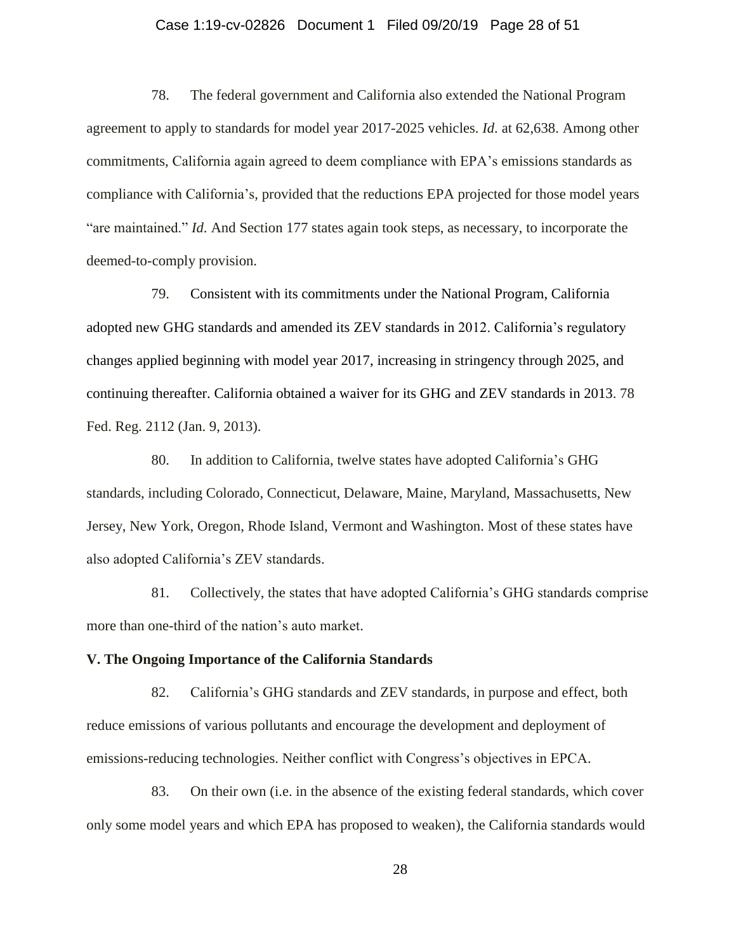#### Case 1:19-cv-02826 Document 1 Filed 09/20/19 Page 28 of 51

78. The federal government and California also extended the National Program agreement to apply to standards for model year 2017-2025 vehicles. *Id*. at 62,638. Among other commitments, California again agreed to deem compliance with EPA's emissions standards as compliance with California's, provided that the reductions EPA projected for those model years "are maintained." *Id*. And Section 177 states again took steps, as necessary, to incorporate the deemed-to-comply provision.

79. Consistent with its commitments under the National Program, California adopted new GHG standards and amended its ZEV standards in 2012. California's regulatory changes applied beginning with model year 2017, increasing in stringency through 2025, and continuing thereafter. California obtained a waiver for its GHG and ZEV standards in 2013. 78 Fed. Reg. 2112 (Jan. 9, 2013).

80. In addition to California, twelve states have adopted California's GHG standards, including Colorado, Connecticut, Delaware, Maine, Maryland, Massachusetts, New Jersey, New York, Oregon, Rhode Island, Vermont and Washington. Most of these states have also adopted California's ZEV standards.

81. Collectively, the states that have adopted California's GHG standards comprise more than one-third of the nation's auto market.

#### **V. The Ongoing Importance of the California Standards**

82. California's GHG standards and ZEV standards, in purpose and effect, both reduce emissions of various pollutants and encourage the development and deployment of emissions-reducing technologies. Neither conflict with Congress's objectives in EPCA.

83. On their own (i.e. in the absence of the existing federal standards, which cover only some model years and which EPA has proposed to weaken), the California standards would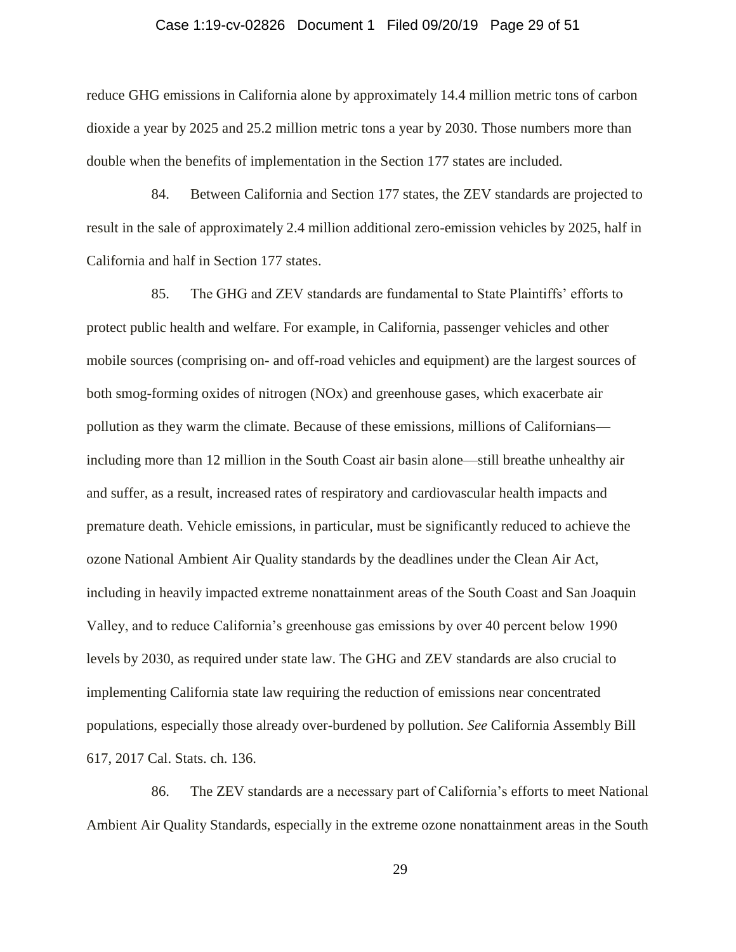### Case 1:19-cv-02826 Document 1 Filed 09/20/19 Page 29 of 51

reduce GHG emissions in California alone by approximately 14.4 million metric tons of carbon dioxide a year by 2025 and 25.2 million metric tons a year by 2030. Those numbers more than double when the benefits of implementation in the Section 177 states are included.

84. Between California and Section 177 states, the ZEV standards are projected to result in the sale of approximately 2.4 million additional zero-emission vehicles by 2025, half in California and half in Section 177 states.

85. The GHG and ZEV standards are fundamental to State Plaintiffs' efforts to protect public health and welfare. For example, in California, passenger vehicles and other mobile sources (comprising on- and off-road vehicles and equipment) are the largest sources of both smog-forming oxides of nitrogen (NOx) and greenhouse gases, which exacerbate air pollution as they warm the climate. Because of these emissions, millions of Californians including more than 12 million in the South Coast air basin alone—still breathe unhealthy air and suffer, as a result, increased rates of respiratory and cardiovascular health impacts and premature death. Vehicle emissions, in particular, must be significantly reduced to achieve the ozone National Ambient Air Quality standards by the deadlines under the Clean Air Act, including in heavily impacted extreme nonattainment areas of the South Coast and San Joaquin Valley, and to reduce California's greenhouse gas emissions by over 40 percent below 1990 levels by 2030, as required under state law. The GHG and ZEV standards are also crucial to implementing California state law requiring the reduction of emissions near concentrated populations, especially those already over-burdened by pollution. *See* California Assembly Bill 617, 2017 Cal. Stats. ch. 136.

86. The ZEV standards are a necessary part of California's efforts to meet National Ambient Air Quality Standards, especially in the extreme ozone nonattainment areas in the South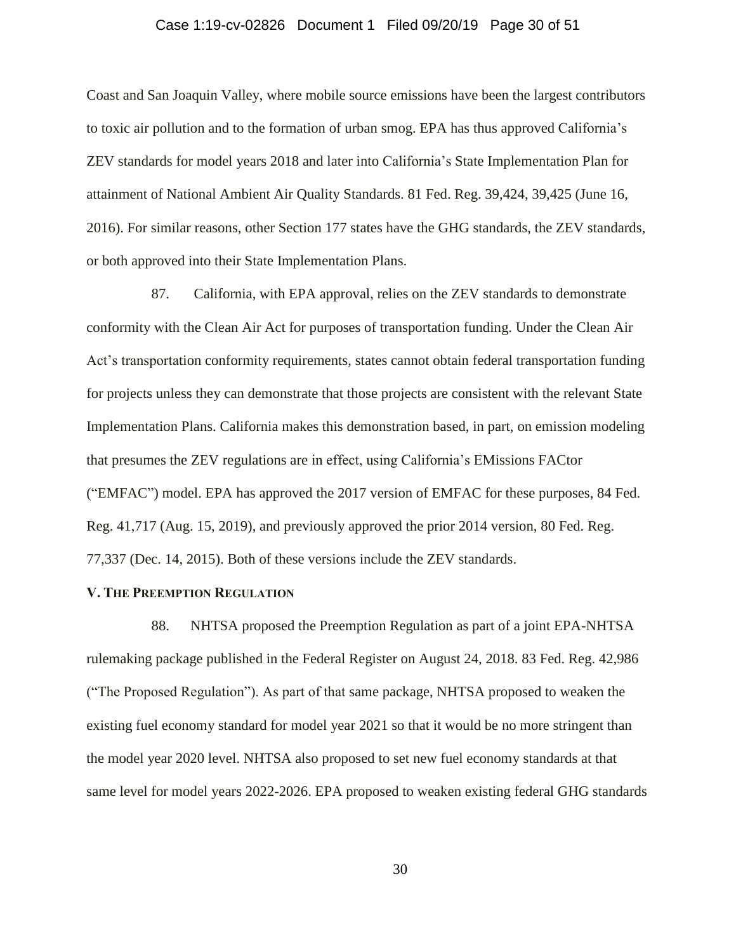### Case 1:19-cv-02826 Document 1 Filed 09/20/19 Page 30 of 51

Coast and San Joaquin Valley, where mobile source emissions have been the largest contributors to toxic air pollution and to the formation of urban smog. EPA has thus approved California's ZEV standards for model years 2018 and later into California's State Implementation Plan for attainment of National Ambient Air Quality Standards. 81 Fed. Reg. 39,424, 39,425 (June 16, 2016). For similar reasons, other Section 177 states have the GHG standards, the ZEV standards, or both approved into their State Implementation Plans.

87. California, with EPA approval, relies on the ZEV standards to demonstrate conformity with the Clean Air Act for purposes of transportation funding. Under the Clean Air Act's transportation conformity requirements, states cannot obtain federal transportation funding for projects unless they can demonstrate that those projects are consistent with the relevant State Implementation Plans. California makes this demonstration based, in part, on emission modeling that presumes the ZEV regulations are in effect, using California's EMissions FACtor ("EMFAC") model. EPA has approved the 2017 version of EMFAC for these purposes, 84 Fed. Reg. 41,717 (Aug. 15, 2019), and previously approved the prior 2014 version, 80 Fed. Reg. 77,337 (Dec. 14, 2015). Both of these versions include the ZEV standards.

## **V. THE PREEMPTION REGULATION**

88. NHTSA proposed the Preemption Regulation as part of a joint EPA-NHTSA rulemaking package published in the Federal Register on August 24, 2018. 83 Fed. Reg. 42,986 ("The Proposed Regulation"). As part of that same package, NHTSA proposed to weaken the existing fuel economy standard for model year 2021 so that it would be no more stringent than the model year 2020 level. NHTSA also proposed to set new fuel economy standards at that same level for model years 2022-2026. EPA proposed to weaken existing federal GHG standards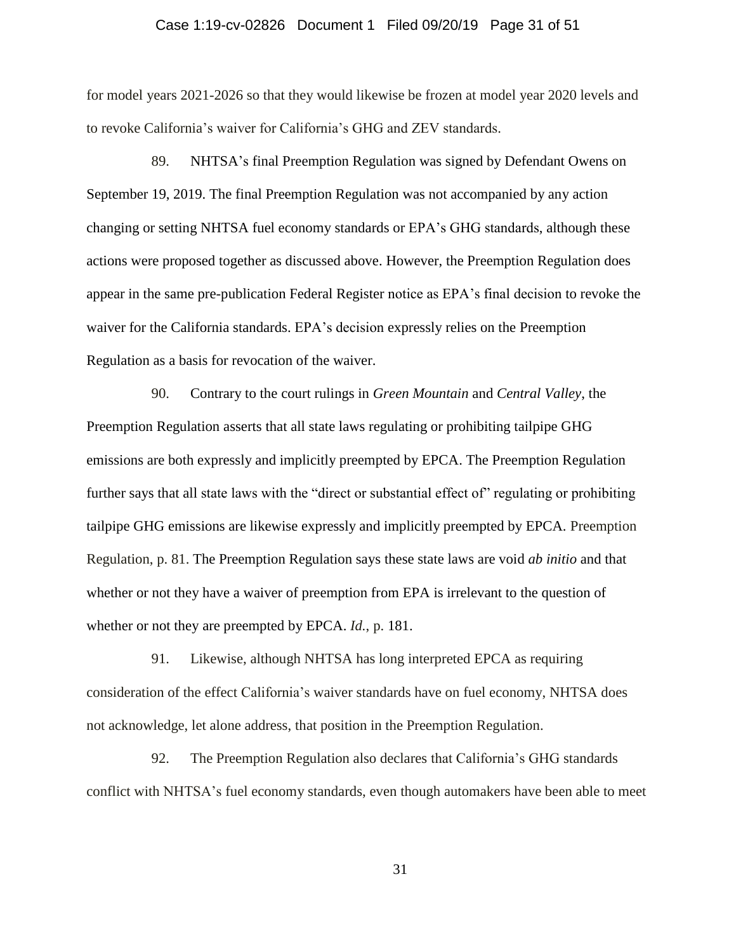### Case 1:19-cv-02826 Document 1 Filed 09/20/19 Page 31 of 51

for model years 2021-2026 so that they would likewise be frozen at model year 2020 levels and to revoke California's waiver for California's GHG and ZEV standards.

89. NHTSA's final Preemption Regulation was signed by Defendant Owens on September 19, 2019. The final Preemption Regulation was not accompanied by any action changing or setting NHTSA fuel economy standards or EPA's GHG standards, although these actions were proposed together as discussed above. However, the Preemption Regulation does appear in the same pre-publication Federal Register notice as EPA's final decision to revoke the waiver for the California standards. EPA's decision expressly relies on the Preemption Regulation as a basis for revocation of the waiver.

90. Contrary to the court rulings in *Green Mountain* and *Central Valley*, the Preemption Regulation asserts that all state laws regulating or prohibiting tailpipe GHG emissions are both expressly and implicitly preempted by EPCA. The Preemption Regulation further says that all state laws with the "direct or substantial effect of" regulating or prohibiting tailpipe GHG emissions are likewise expressly and implicitly preempted by EPCA. Preemption Regulation, p. 81. The Preemption Regulation says these state laws are void *ab initio* and that whether or not they have a waiver of preemption from EPA is irrelevant to the question of whether or not they are preempted by EPCA. *Id.*, p. 181.

91. Likewise, although NHTSA has long interpreted EPCA as requiring consideration of the effect California's waiver standards have on fuel economy, NHTSA does not acknowledge, let alone address, that position in the Preemption Regulation.

92. The Preemption Regulation also declares that California's GHG standards conflict with NHTSA's fuel economy standards, even though automakers have been able to meet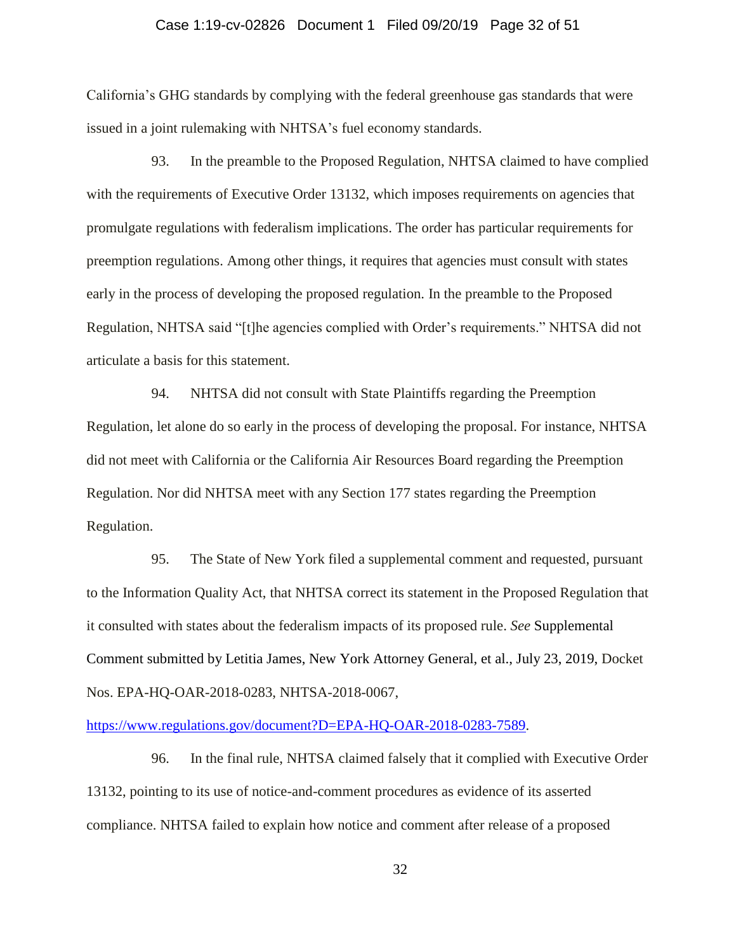### Case 1:19-cv-02826 Document 1 Filed 09/20/19 Page 32 of 51

California's GHG standards by complying with the federal greenhouse gas standards that were issued in a joint rulemaking with NHTSA's fuel economy standards.

93. In the preamble to the Proposed Regulation, NHTSA claimed to have complied with the requirements of Executive Order 13132, which imposes requirements on agencies that promulgate regulations with federalism implications. The order has particular requirements for preemption regulations. Among other things, it requires that agencies must consult with states early in the process of developing the proposed regulation. In the preamble to the Proposed Regulation, NHTSA said "[t]he agencies complied with Order's requirements." NHTSA did not articulate a basis for this statement.

94. NHTSA did not consult with State Plaintiffs regarding the Preemption Regulation, let alone do so early in the process of developing the proposal. For instance, NHTSA did not meet with California or the California Air Resources Board regarding the Preemption Regulation. Nor did NHTSA meet with any Section 177 states regarding the Preemption Regulation.

95. The State of New York filed a supplemental comment and requested, pursuant to the Information Quality Act, that NHTSA correct its statement in the Proposed Regulation that it consulted with states about the federalism impacts of its proposed rule. *See* Supplemental Comment submitted by Letitia James, New York Attorney General, et al., July 23, 2019, Docket Nos. EPA-HQ-OAR-2018-0283, NHTSA-2018-0067,

[https://www.regulations.gov/document?D=EPA-HQ-OAR-2018-0283-7589.](https://www.regulations.gov/document?D=EPA-HQ-OAR-2018-0283-7589)

96. In the final rule, NHTSA claimed falsely that it complied with Executive Order 13132, pointing to its use of notice-and-comment procedures as evidence of its asserted compliance. NHTSA failed to explain how notice and comment after release of a proposed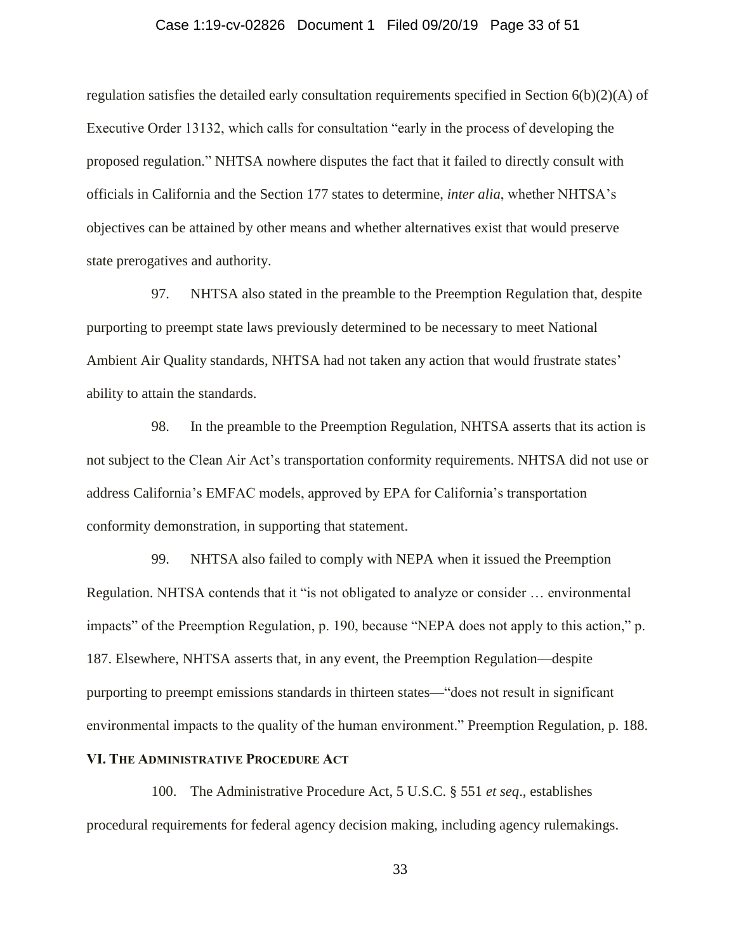### Case 1:19-cv-02826 Document 1 Filed 09/20/19 Page 33 of 51

regulation satisfies the detailed early consultation requirements specified in Section  $6(b)(2)(A)$  of Executive Order 13132, which calls for consultation "early in the process of developing the proposed regulation." NHTSA nowhere disputes the fact that it failed to directly consult with officials in California and the Section 177 states to determine, *inter alia*, whether NHTSA's objectives can be attained by other means and whether alternatives exist that would preserve state prerogatives and authority.

97. NHTSA also stated in the preamble to the Preemption Regulation that, despite purporting to preempt state laws previously determined to be necessary to meet National Ambient Air Quality standards, NHTSA had not taken any action that would frustrate states' ability to attain the standards.

98. In the preamble to the Preemption Regulation, NHTSA asserts that its action is not subject to the Clean Air Act's transportation conformity requirements. NHTSA did not use or address California's EMFAC models, approved by EPA for California's transportation conformity demonstration, in supporting that statement.

99. NHTSA also failed to comply with NEPA when it issued the Preemption Regulation. NHTSA contends that it "is not obligated to analyze or consider … environmental impacts" of the Preemption Regulation, p. 190, because "NEPA does not apply to this action," p. 187. Elsewhere, NHTSA asserts that, in any event, the Preemption Regulation—despite purporting to preempt emissions standards in thirteen states—"does not result in significant environmental impacts to the quality of the human environment." Preemption Regulation, p. 188.

## **VI. THE ADMINISTRATIVE PROCEDURE ACT**

100. The Administrative Procedure Act, 5 U.S.C. § 551 *et seq*., establishes procedural requirements for federal agency decision making, including agency rulemakings.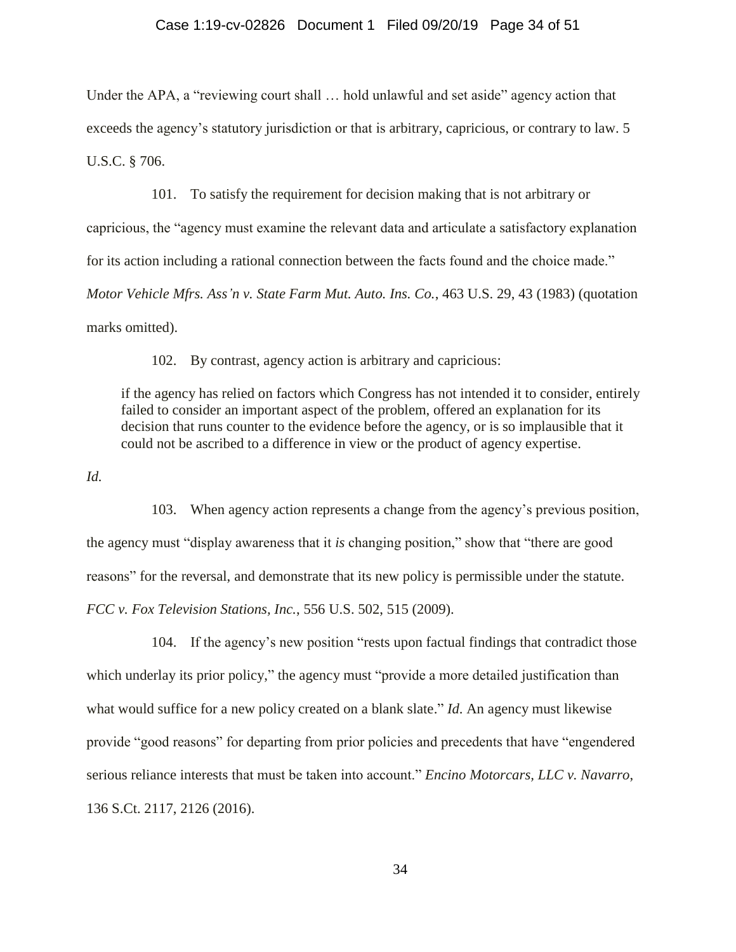#### Case 1:19-cv-02826 Document 1 Filed 09/20/19 Page 34 of 51

Under the APA, a "reviewing court shall … hold unlawful and set aside" agency action that exceeds the agency's statutory jurisdiction or that is arbitrary, capricious, or contrary to law. 5 U.S.C. § 706.

101. To satisfy the requirement for decision making that is not arbitrary or capricious, the "agency must examine the relevant data and articulate a satisfactory explanation for its action including a rational connection between the facts found and the choice made." *Motor Vehicle Mfrs. Ass'n v. State Farm Mut. Auto. Ins. Co.*, 463 U.S. 29, 43 (1983) (quotation marks omitted).

102. By contrast, agency action is arbitrary and capricious:

if the agency has relied on factors which Congress has not intended it to consider, entirely failed to consider an important aspect of the problem, offered an explanation for its decision that runs counter to the evidence before the agency, or is so implausible that it could not be ascribed to a difference in view or the product of agency expertise.

*Id.*

103. When agency action represents a change from the agency's previous position, the agency must "display awareness that it *is* changing position," show that "there are good reasons" for the reversal, and demonstrate that its new policy is permissible under the statute. *FCC v. Fox Television Stations, Inc.*, 556 U.S. 502, 515 (2009).

104. If the agency's new position "rests upon factual findings that contradict those which underlay its prior policy," the agency must "provide a more detailed justification than what would suffice for a new policy created on a blank slate." *Id*. An agency must likewise provide "good reasons" for departing from prior policies and precedents that have "engendered serious reliance interests that must be taken into account." *Encino Motorcars, LLC v. Navarro*, 136 S.Ct. 2117, 2126 (2016).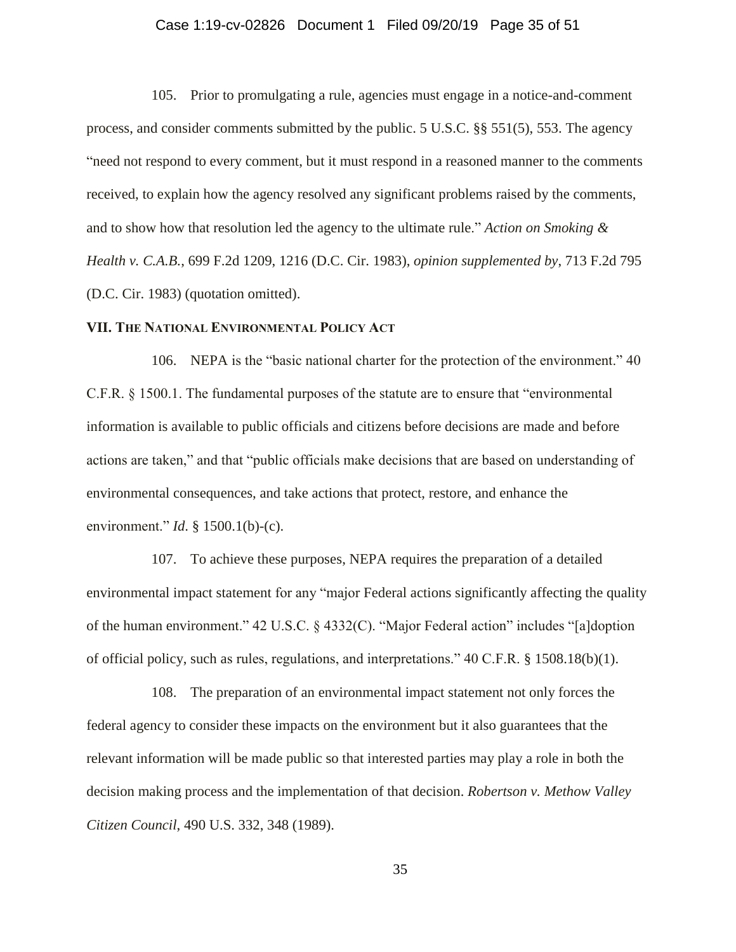### Case 1:19-cv-02826 Document 1 Filed 09/20/19 Page 35 of 51

105. Prior to promulgating a rule, agencies must engage in a notice-and-comment process, and consider comments submitted by the public. 5 U.S.C. §§ 551(5), 553. The agency "need not respond to every comment, but it must respond in a reasoned manner to the comments received, to explain how the agency resolved any significant problems raised by the comments, and to show how that resolution led the agency to the ultimate rule." *Action on Smoking & Health v. C.A.B.*, 699 F.2d 1209, 1216 (D.C. Cir. 1983), *opinion supplemented by*, 713 F.2d 795 (D.C. Cir. 1983) (quotation omitted).

### **VII. THE NATIONAL ENVIRONMENTAL POLICY ACT**

106. NEPA is the "basic national charter for the protection of the environment." 40 C.F.R. § 1500.1. The fundamental purposes of the statute are to ensure that "environmental information is available to public officials and citizens before decisions are made and before actions are taken," and that "public officials make decisions that are based on understanding of environmental consequences, and take actions that protect, restore, and enhance the environment." *Id*. § 1500.1(b)-(c).

107. To achieve these purposes, NEPA requires the preparation of a detailed environmental impact statement for any "major Federal actions significantly affecting the quality of the human environment." 42 U.S.C. § 4332(C). "Major Federal action" includes "[a]doption of official policy, such as rules, regulations, and interpretations." 40 C.F.R. § 1508.18(b)(1).

108. The preparation of an environmental impact statement not only forces the federal agency to consider these impacts on the environment but it also guarantees that the relevant information will be made public so that interested parties may play a role in both the decision making process and the implementation of that decision. *Robertson v. Methow Valley Citizen Council*, 490 U.S. 332, 348 (1989).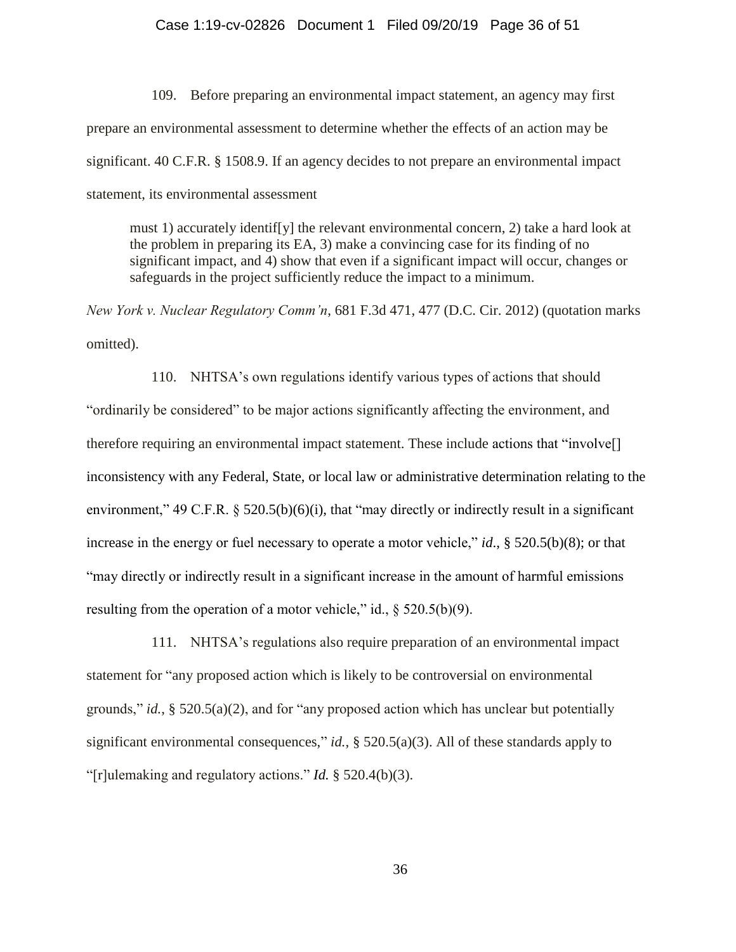#### Case 1:19-cv-02826 Document 1 Filed 09/20/19 Page 36 of 51

109. Before preparing an environmental impact statement, an agency may first prepare an environmental assessment to determine whether the effects of an action may be significant. 40 C.F.R. § 1508.9. If an agency decides to not prepare an environmental impact statement, its environmental assessment

must 1) accurately identif[y] the relevant environmental concern, 2) take a hard look at the problem in preparing its EA, 3) make a convincing case for its finding of no significant impact, and 4) show that even if a significant impact will occur, changes or safeguards in the project sufficiently reduce the impact to a minimum.

*New York v. Nuclear Regulatory Comm'n*, 681 F.3d 471, 477 (D.C. Cir. 2012) (quotation marks omitted).

110. NHTSA's own regulations identify various types of actions that should "ordinarily be considered" to be major actions significantly affecting the environment, and therefore requiring an environmental impact statement. These include actions that "involve[] inconsistency with any Federal, State, or local law or administrative determination relating to the environment," 49 C.F.R.  $\S$  520.5(b)(6)(i), that "may directly or indirectly result in a significant increase in the energy or fuel necessary to operate a motor vehicle," *id*., § 520.5(b)(8); or that "may directly or indirectly result in a significant increase in the amount of harmful emissions resulting from the operation of a motor vehicle," id.,  $\S$  520.5(b)(9).

111. NHTSA's regulations also require preparation of an environmental impact statement for "any proposed action which is likely to be controversial on environmental grounds," *id.*, § 520.5(a)(2), and for "any proposed action which has unclear but potentially significant environmental consequences," *id.*, § 520.5(a)(3). All of these standards apply to "[r]ulemaking and regulatory actions." *Id.* § 520.4(b)(3).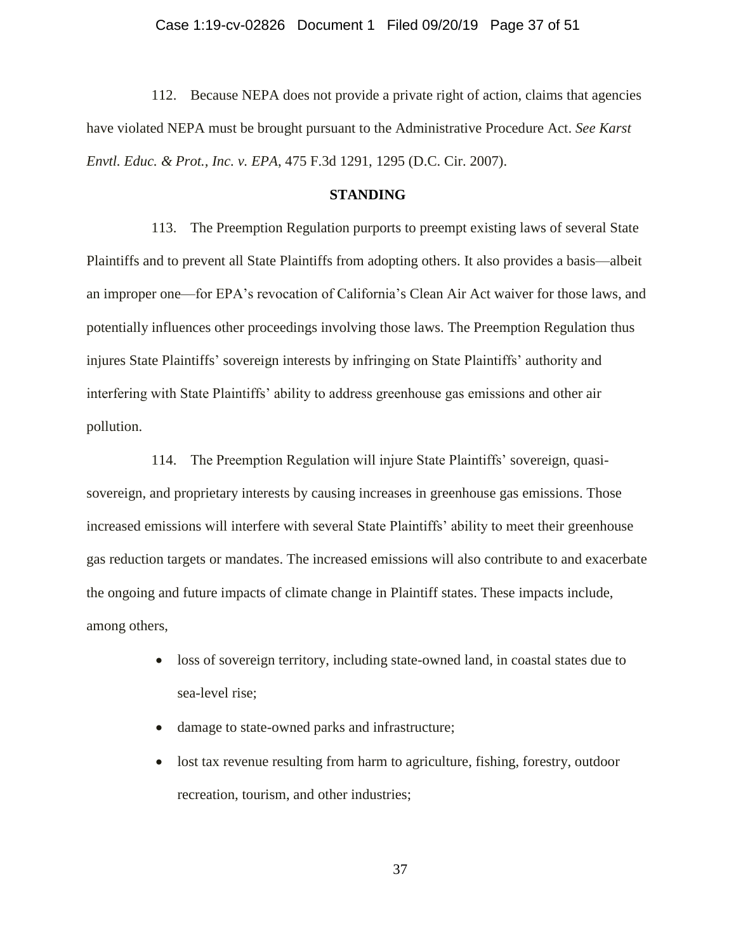### Case 1:19-cv-02826 Document 1 Filed 09/20/19 Page 37 of 51

112. Because NEPA does not provide a private right of action, claims that agencies have violated NEPA must be brought pursuant to the Administrative Procedure Act. *See Karst Envtl. Educ. & Prot., Inc. v. EPA*, 475 F.3d 1291, 1295 (D.C. Cir. 2007).

#### **STANDING**

113. The Preemption Regulation purports to preempt existing laws of several State Plaintiffs and to prevent all State Plaintiffs from adopting others. It also provides a basis—albeit an improper one—for EPA's revocation of California's Clean Air Act waiver for those laws, and potentially influences other proceedings involving those laws. The Preemption Regulation thus injures State Plaintiffs' sovereign interests by infringing on State Plaintiffs' authority and interfering with State Plaintiffs' ability to address greenhouse gas emissions and other air pollution.

114. The Preemption Regulation will injure State Plaintiffs' sovereign, quasisovereign, and proprietary interests by causing increases in greenhouse gas emissions. Those increased emissions will interfere with several State Plaintiffs' ability to meet their greenhouse gas reduction targets or mandates. The increased emissions will also contribute to and exacerbate the ongoing and future impacts of climate change in Plaintiff states. These impacts include, among others,

- loss of sovereign territory, including state-owned land, in coastal states due to sea-level rise;
- damage to state-owned parks and infrastructure;
- lost tax revenue resulting from harm to agriculture, fishing, forestry, outdoor recreation, tourism, and other industries;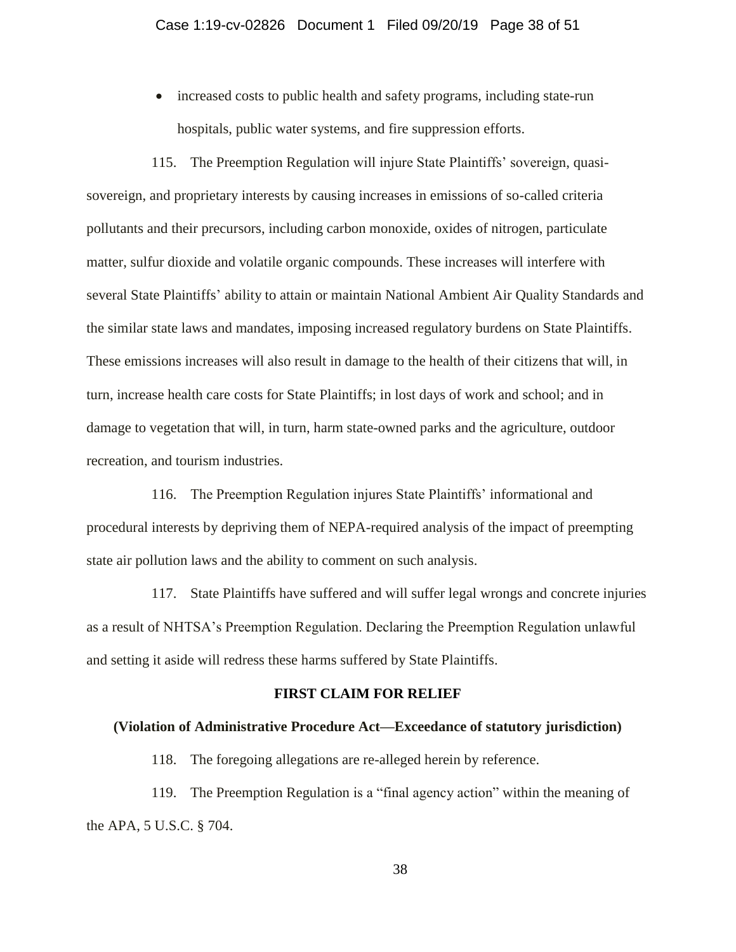• increased costs to public health and safety programs, including state-run hospitals, public water systems, and fire suppression efforts.

115. The Preemption Regulation will injure State Plaintiffs' sovereign, quasisovereign, and proprietary interests by causing increases in emissions of so-called criteria pollutants and their precursors, including carbon monoxide, oxides of nitrogen, particulate matter, sulfur dioxide and volatile organic compounds. These increases will interfere with several State Plaintiffs' ability to attain or maintain National Ambient Air Quality Standards and the similar state laws and mandates, imposing increased regulatory burdens on State Plaintiffs. These emissions increases will also result in damage to the health of their citizens that will, in turn, increase health care costs for State Plaintiffs; in lost days of work and school; and in damage to vegetation that will, in turn, harm state-owned parks and the agriculture, outdoor recreation, and tourism industries.

116. The Preemption Regulation injures State Plaintiffs' informational and procedural interests by depriving them of NEPA-required analysis of the impact of preempting state air pollution laws and the ability to comment on such analysis.

117. State Plaintiffs have suffered and will suffer legal wrongs and concrete injuries as a result of NHTSA's Preemption Regulation. Declaring the Preemption Regulation unlawful and setting it aside will redress these harms suffered by State Plaintiffs.

### **FIRST CLAIM FOR RELIEF**

#### **(Violation of Administrative Procedure Act—Exceedance of statutory jurisdiction)**

118. The foregoing allegations are re-alleged herein by reference.

119. The Preemption Regulation is a "final agency action" within the meaning of the APA, 5 U.S.C. § 704.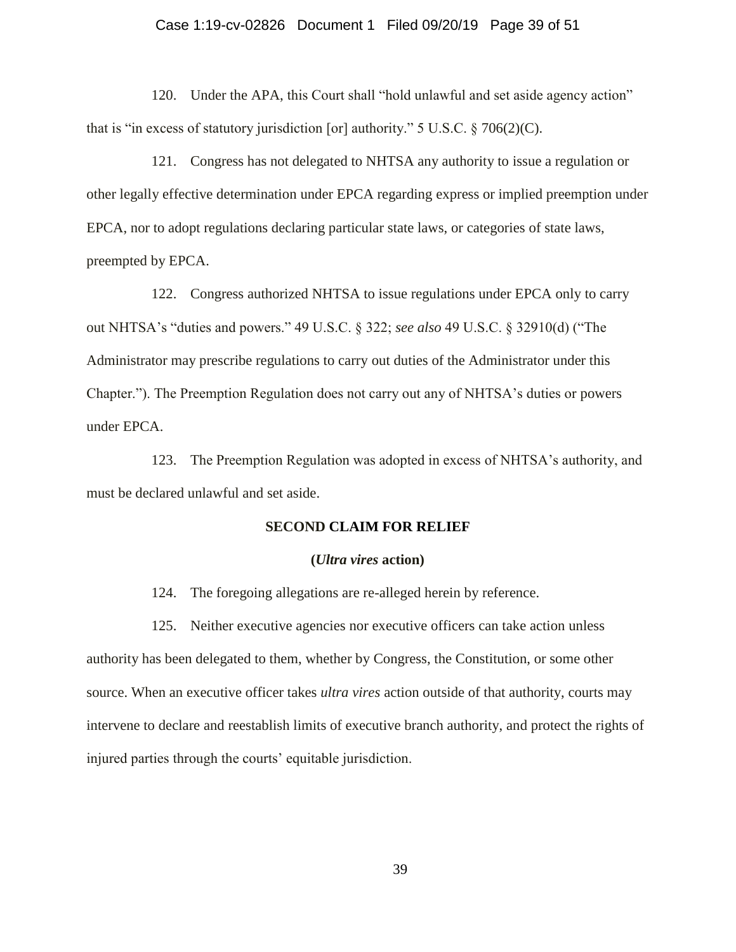### Case 1:19-cv-02826 Document 1 Filed 09/20/19 Page 39 of 51

120. Under the APA, this Court shall "hold unlawful and set aside agency action" that is "in excess of statutory jurisdiction [or] authority."  $5 \text{ U.S.C.}$   $\S$   $706(2)(\text{C})$ .

121. Congress has not delegated to NHTSA any authority to issue a regulation or other legally effective determination under EPCA regarding express or implied preemption under EPCA, nor to adopt regulations declaring particular state laws, or categories of state laws, preempted by EPCA.

122. Congress authorized NHTSA to issue regulations under EPCA only to carry out NHTSA's "duties and powers." 49 U.S.C. § 322; *see also* 49 U.S.C. § 32910(d) ("The Administrator may prescribe regulations to carry out duties of the Administrator under this Chapter."). The Preemption Regulation does not carry out any of NHTSA's duties or powers under EPCA.

123. The Preemption Regulation was adopted in excess of NHTSA's authority, and must be declared unlawful and set aside.

#### **SECOND CLAIM FOR RELIEF**

#### **(***Ultra vires* **action)**

124. The foregoing allegations are re-alleged herein by reference.

125. Neither executive agencies nor executive officers can take action unless authority has been delegated to them, whether by Congress, the Constitution, or some other source. When an executive officer takes *ultra vires* action outside of that authority, courts may intervene to declare and reestablish limits of executive branch authority, and protect the rights of injured parties through the courts' equitable jurisdiction.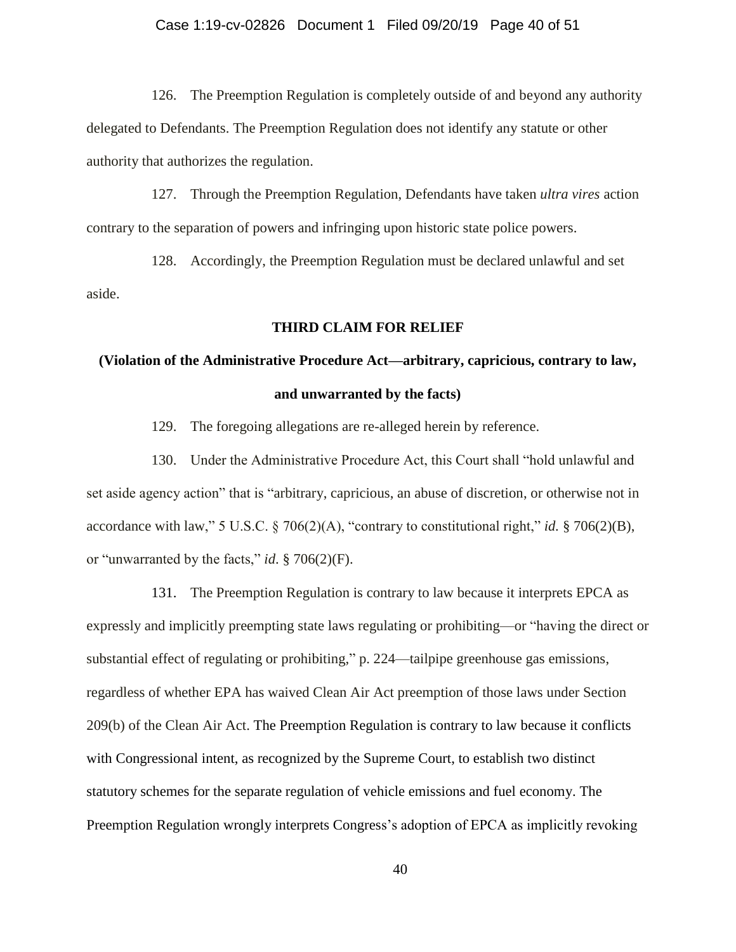### Case 1:19-cv-02826 Document 1 Filed 09/20/19 Page 40 of 51

126. The Preemption Regulation is completely outside of and beyond any authority delegated to Defendants. The Preemption Regulation does not identify any statute or other authority that authorizes the regulation.

127. Through the Preemption Regulation, Defendants have taken *ultra vires* action contrary to the separation of powers and infringing upon historic state police powers.

128. Accordingly, the Preemption Regulation must be declared unlawful and set aside.

#### **THIRD CLAIM FOR RELIEF**

# **(Violation of the Administrative Procedure Act—arbitrary, capricious, contrary to law, and unwarranted by the facts)**

129. The foregoing allegations are re-alleged herein by reference.

130. Under the Administrative Procedure Act, this Court shall "hold unlawful and set aside agency action" that is "arbitrary, capricious, an abuse of discretion, or otherwise not in accordance with law," 5 U.S.C. § 706(2)(A), "contrary to constitutional right," *id.* § 706(2)(B), or "unwarranted by the facts," *id*. § 706(2)(F).

131. The Preemption Regulation is contrary to law because it interprets EPCA as expressly and implicitly preempting state laws regulating or prohibiting—or "having the direct or substantial effect of regulating or prohibiting," p. 224—tailpipe greenhouse gas emissions, regardless of whether EPA has waived Clean Air Act preemption of those laws under Section 209(b) of the Clean Air Act. The Preemption Regulation is contrary to law because it conflicts with Congressional intent, as recognized by the Supreme Court, to establish two distinct statutory schemes for the separate regulation of vehicle emissions and fuel economy. The Preemption Regulation wrongly interprets Congress's adoption of EPCA as implicitly revoking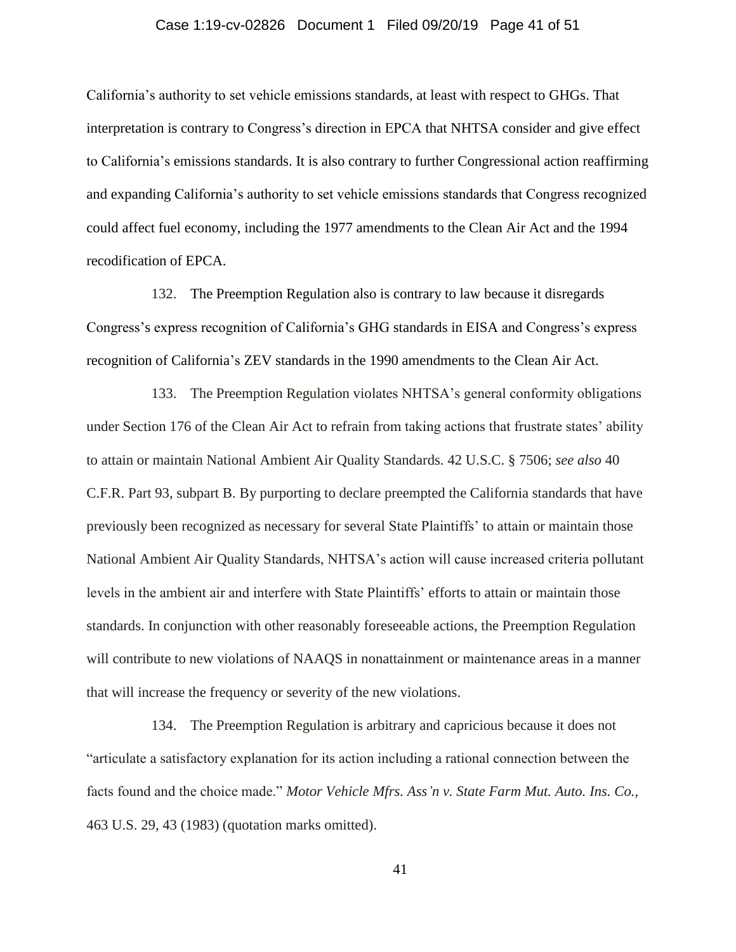### Case 1:19-cv-02826 Document 1 Filed 09/20/19 Page 41 of 51

California's authority to set vehicle emissions standards, at least with respect to GHGs. That interpretation is contrary to Congress's direction in EPCA that NHTSA consider and give effect to California's emissions standards. It is also contrary to further Congressional action reaffirming and expanding California's authority to set vehicle emissions standards that Congress recognized could affect fuel economy, including the 1977 amendments to the Clean Air Act and the 1994 recodification of EPCA.

132. The Preemption Regulation also is contrary to law because it disregards Congress's express recognition of California's GHG standards in EISA and Congress's express recognition of California's ZEV standards in the 1990 amendments to the Clean Air Act.

133. The Preemption Regulation violates NHTSA's general conformity obligations under Section 176 of the Clean Air Act to refrain from taking actions that frustrate states' ability to attain or maintain National Ambient Air Quality Standards. 42 U.S.C. § 7506; *see also* 40 C.F.R. Part 93, subpart B. By purporting to declare preempted the California standards that have previously been recognized as necessary for several State Plaintiffs' to attain or maintain those National Ambient Air Quality Standards, NHTSA's action will cause increased criteria pollutant levels in the ambient air and interfere with State Plaintiffs' efforts to attain or maintain those standards. In conjunction with other reasonably foreseeable actions, the Preemption Regulation will contribute to new violations of NAAQS in nonattainment or maintenance areas in a manner that will increase the frequency or severity of the new violations.

134. The Preemption Regulation is arbitrary and capricious because it does not "articulate a satisfactory explanation for its action including a rational connection between the facts found and the choice made." *Motor Vehicle Mfrs. Ass'n v. State Farm Mut. Auto. Ins. Co.,* 463 U.S. 29, 43 (1983) (quotation marks omitted).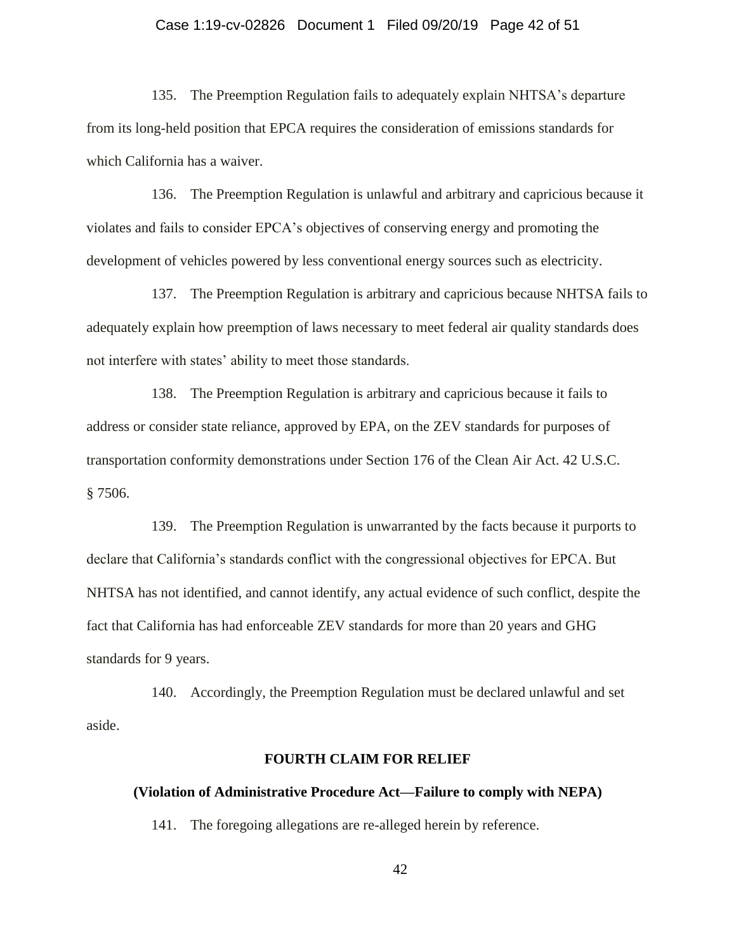### Case 1:19-cv-02826 Document 1 Filed 09/20/19 Page 42 of 51

135. The Preemption Regulation fails to adequately explain NHTSA's departure from its long-held position that EPCA requires the consideration of emissions standards for which California has a waiver.

136. The Preemption Regulation is unlawful and arbitrary and capricious because it violates and fails to consider EPCA's objectives of conserving energy and promoting the development of vehicles powered by less conventional energy sources such as electricity.

137. The Preemption Regulation is arbitrary and capricious because NHTSA fails to adequately explain how preemption of laws necessary to meet federal air quality standards does not interfere with states' ability to meet those standards.

138. The Preemption Regulation is arbitrary and capricious because it fails to address or consider state reliance, approved by EPA, on the ZEV standards for purposes of transportation conformity demonstrations under Section 176 of the Clean Air Act. 42 U.S.C. § 7506.

139. The Preemption Regulation is unwarranted by the facts because it purports to declare that California's standards conflict with the congressional objectives for EPCA. But NHTSA has not identified, and cannot identify, any actual evidence of such conflict, despite the fact that California has had enforceable ZEV standards for more than 20 years and GHG standards for 9 years.

140. Accordingly, the Preemption Regulation must be declared unlawful and set aside.

#### **FOURTH CLAIM FOR RELIEF**

#### **(Violation of Administrative Procedure Act—Failure to comply with NEPA)**

141. The foregoing allegations are re-alleged herein by reference.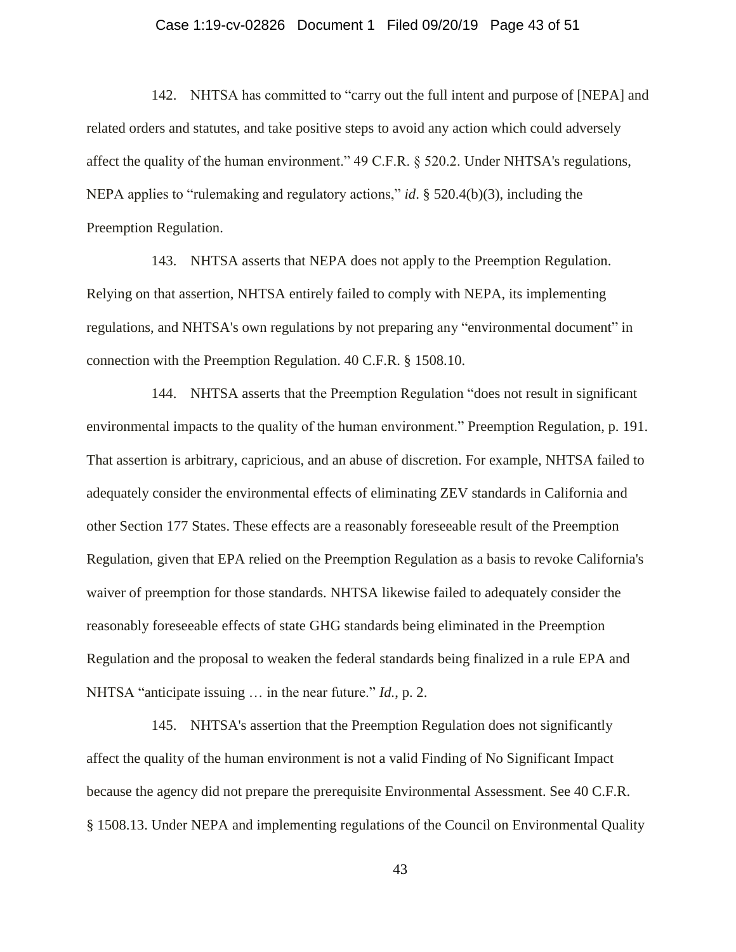### Case 1:19-cv-02826 Document 1 Filed 09/20/19 Page 43 of 51

142. NHTSA has committed to "carry out the full intent and purpose of [NEPA] and related orders and statutes, and take positive steps to avoid any action which could adversely affect the quality of the human environment." 49 C.F.R. § 520.2. Under NHTSA's regulations, NEPA applies to "rulemaking and regulatory actions," *id*. § 520.4(b)(3), including the Preemption Regulation.

143. NHTSA asserts that NEPA does not apply to the Preemption Regulation. Relying on that assertion, NHTSA entirely failed to comply with NEPA, its implementing regulations, and NHTSA's own regulations by not preparing any "environmental document" in connection with the Preemption Regulation. 40 C.F.R. § 1508.10.

144. NHTSA asserts that the Preemption Regulation "does not result in significant environmental impacts to the quality of the human environment." Preemption Regulation, p. 191. That assertion is arbitrary, capricious, and an abuse of discretion. For example, NHTSA failed to adequately consider the environmental effects of eliminating ZEV standards in California and other Section 177 States. These effects are a reasonably foreseeable result of the Preemption Regulation, given that EPA relied on the Preemption Regulation as a basis to revoke California's waiver of preemption for those standards. NHTSA likewise failed to adequately consider the reasonably foreseeable effects of state GHG standards being eliminated in the Preemption Regulation and the proposal to weaken the federal standards being finalized in a rule EPA and NHTSA "anticipate issuing … in the near future." *Id.*, p. 2.

145. NHTSA's assertion that the Preemption Regulation does not significantly affect the quality of the human environment is not a valid Finding of No Significant Impact because the agency did not prepare the prerequisite Environmental Assessment. See 40 C.F.R. § 1508.13. Under NEPA and implementing regulations of the Council on Environmental Quality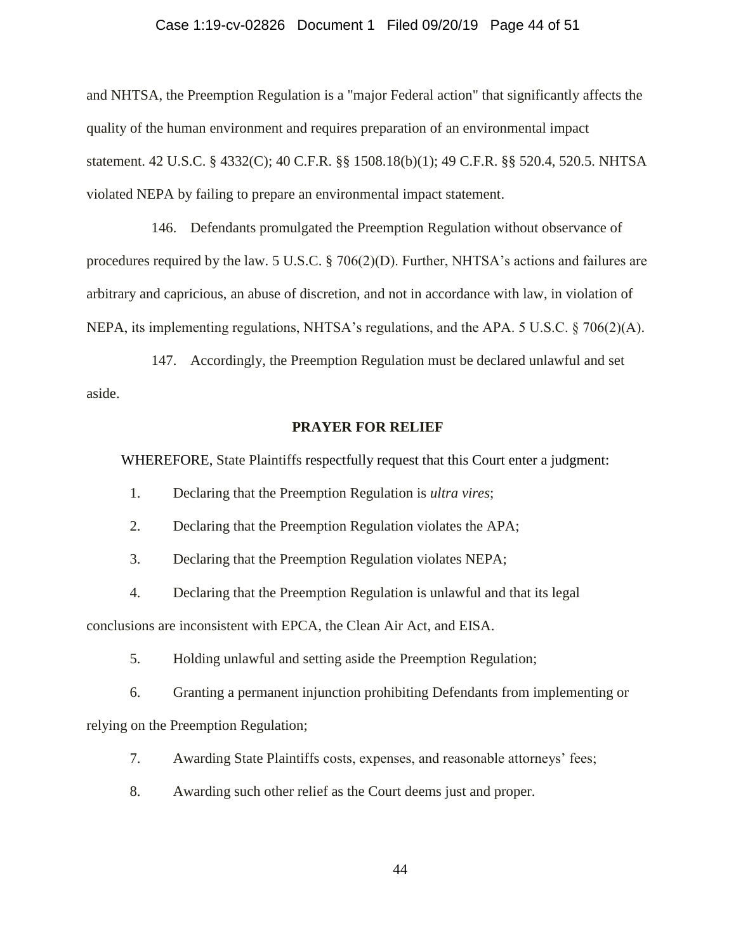### Case 1:19-cv-02826 Document 1 Filed 09/20/19 Page 44 of 51

and NHTSA, the Preemption Regulation is a "major Federal action" that significantly affects the quality of the human environment and requires preparation of an environmental impact statement. 42 U.S.C. § 4332(C); 40 C.F.R. §§ 1508.18(b)(1); 49 C.F.R. §§ 520.4, 520.5. NHTSA violated NEPA by failing to prepare an environmental impact statement.

146. Defendants promulgated the Preemption Regulation without observance of procedures required by the law. 5 U.S.C. § 706(2)(D). Further, NHTSA's actions and failures are arbitrary and capricious, an abuse of discretion, and not in accordance with law, in violation of NEPA, its implementing regulations, NHTSA's regulations, and the APA. 5 U.S.C. § 706(2)(A).

147. Accordingly, the Preemption Regulation must be declared unlawful and set aside.

### **PRAYER FOR RELIEF**

WHEREFORE, State Plaintiffs respectfully request that this Court enter a judgment:

1. Declaring that the Preemption Regulation is *ultra vires*;

2. Declaring that the Preemption Regulation violates the APA;

3. Declaring that the Preemption Regulation violates NEPA;

4. Declaring that the Preemption Regulation is unlawful and that its legal

conclusions are inconsistent with EPCA, the Clean Air Act, and EISA.

5. Holding unlawful and setting aside the Preemption Regulation;

6. Granting a permanent injunction prohibiting Defendants from implementing or relying on the Preemption Regulation;

7. Awarding State Plaintiffs costs, expenses, and reasonable attorneys' fees;

8. Awarding such other relief as the Court deems just and proper.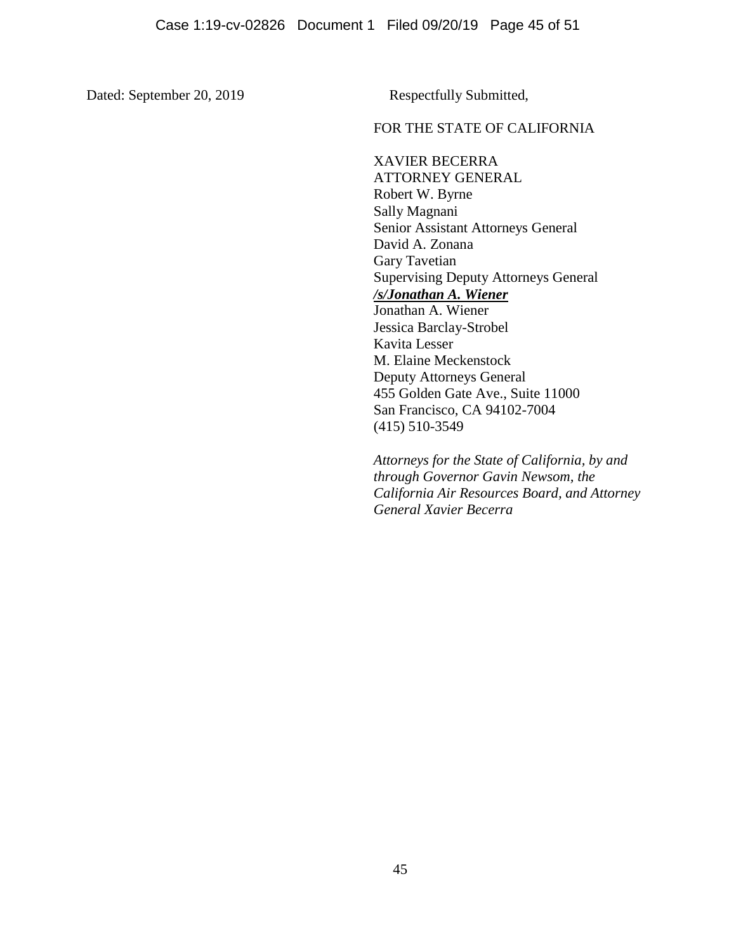Dated: September 20, 2019 Respectfully Submitted,

## FOR THE STATE OF CALIFORNIA

XAVIER BECERRA ATTORNEY GENERAL Robert W. Byrne Sally Magnani Senior Assistant Attorneys General David A. Zonana Gary Tavetian Supervising Deputy Attorneys General */s/Jonathan A. Wiener* Jonathan A. Wiener Jessica Barclay-Strobel Kavita Lesser M. Elaine Meckenstock Deputy Attorneys General 455 Golden Gate Ave., Suite 11000 San Francisco, CA 94102-7004 (415) 510-3549

*Attorneys for the State of California, by and through Governor Gavin Newsom, the California Air Resources Board, and Attorney General Xavier Becerra*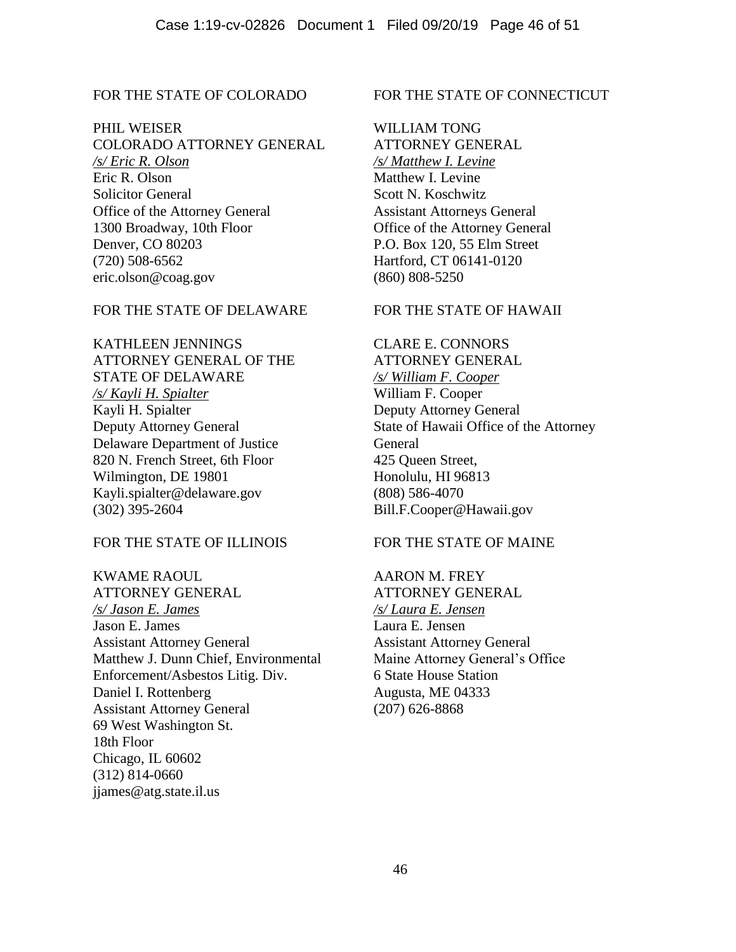# FOR THE STATE OF COLORADO

PHIL WEISER

COLORADO ATTORNEY GENERAL */s/ Eric R. Olson* Eric R. Olson Solicitor General Office of the Attorney General 1300 Broadway, 10th Floor Denver, CO 80203 (720) 508-6562 eric.olson@coag.gov

# FOR THE STATE OF DELAWARE

KATHLEEN JENNINGS ATTORNEY GENERAL OF THE STATE OF DELAWARE */s/ Kayli H. Spialter*  Kayli H. Spialter Deputy Attorney General Delaware Department of Justice 820 N. French Street, 6th Floor Wilmington, DE 19801 Kayli.spialter@delaware.gov (302) 395-2604

## FOR THE STATE OF ILLINOIS

KWAME RAOUL ATTORNEY GENERAL */s/ Jason E. James* Jason E. James Assistant Attorney General Matthew J. Dunn Chief, Environmental Enforcement/Asbestos Litig. Div. Daniel I. Rottenberg Assistant Attorney General 69 West Washington St. 18th Floor Chicago, IL 60602 (312) 814-0660 jjames@atg.state.il.us

### FOR THE STATE OF CONNECTICUT

WILLIAM TONG ATTORNEY GENERAL */s/ Matthew I. Levine* Matthew I. Levine Scott N. Koschwitz Assistant Attorneys General Office of the Attorney General P.O. Box 120, 55 Elm Street Hartford, CT 06141-0120 (860) 808-5250

## FOR THE STATE OF HAWAII

CLARE E. CONNORS ATTORNEY GENERAL */s/ William F. Cooper* William F. Cooper Deputy Attorney General State of Hawaii Office of the Attorney General 425 Queen Street, Honolulu, HI 96813 (808) 586-4070 Bill.F.Cooper@Hawaii.gov

## FOR THE STATE OF MAINE

AARON M. FREY ATTORNEY GENERAL */s/ Laura E. Jensen* Laura E. Jensen Assistant Attorney General Maine Attorney General's Office 6 State House Station Augusta, ME 04333 (207) 626-8868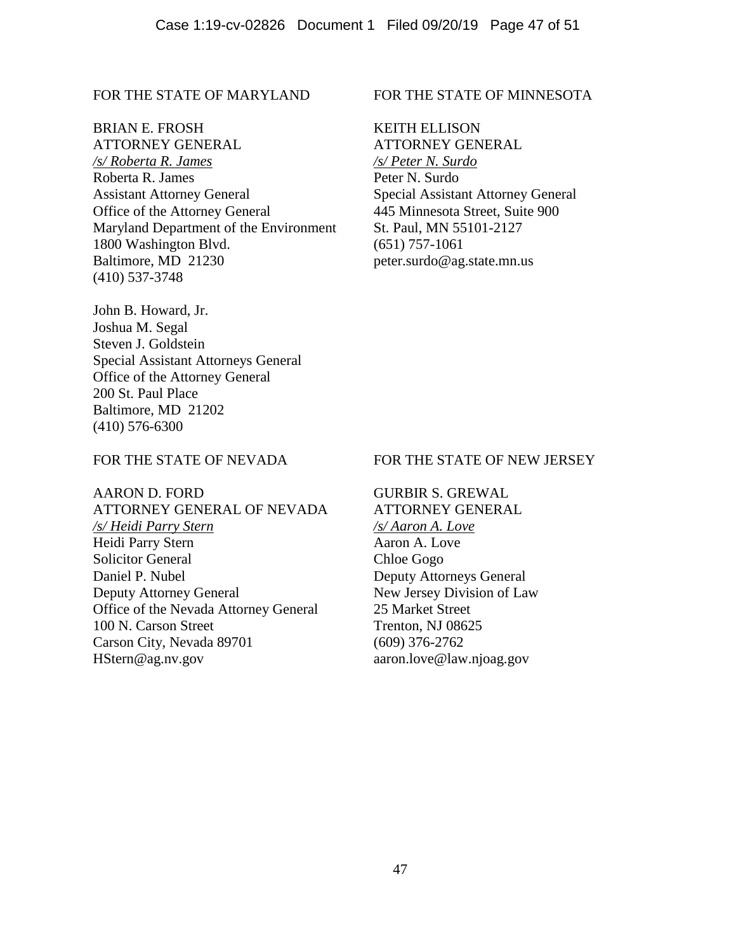## FOR THE STATE OF MARYLAND

#### BRIAN E. FROSH

ATTORNEY GENERAL */s/ Roberta R. James* Roberta R. James Assistant Attorney General Office of the Attorney General Maryland Department of the Environment 1800 Washington Blvd. Baltimore, MD 21230 (410) 537-3748

John B. Howard, Jr. Joshua M. Segal Steven J. Goldstein Special Assistant Attorneys General Office of the Attorney General 200 St. Paul Place Baltimore, MD 21202 (410) 576-6300

## FOR THE STATE OF NEVADA

AARON D. FORD ATTORNEY GENERAL OF NEVADA */s/ Heidi Parry Stern* Heidi Parry Stern Solicitor General Daniel P. Nubel Deputy Attorney General Office of the Nevada Attorney General 100 N. Carson Street Carson City, Nevada 89701 HStern@ag.nv.gov

# FOR THE STATE OF MINNESOTA

KEITH ELLISON ATTORNEY GENERAL */s/ Peter N. Surdo* Peter N. Surdo Special Assistant Attorney General 445 Minnesota Street, Suite 900 St. Paul, MN 55101-2127 (651) 757-1061 peter.surdo@ag.state.mn.us

## FOR THE STATE OF NEW JERSEY

GURBIR S. GREWAL ATTORNEY GENERAL */s/ Aaron A. Love* Aaron A. Love Chloe Gogo Deputy Attorneys General New Jersey Division of Law 25 Market Street Trenton, NJ 08625 (609) 376-2762 aaron.love@law.njoag.gov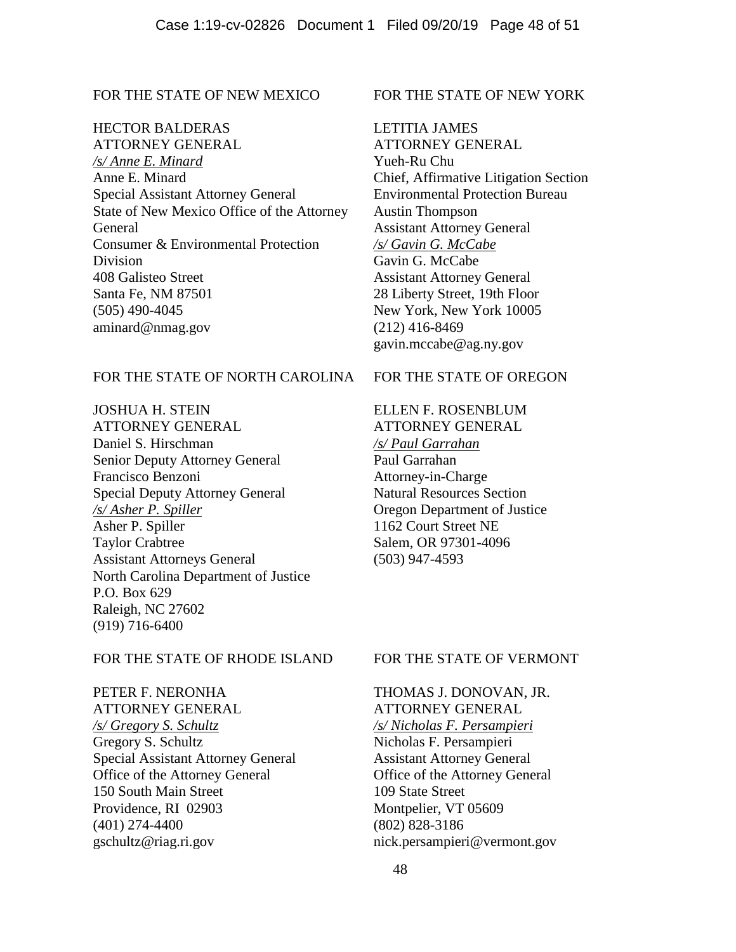# FOR THE STATE OF NEW MEXICO

## HECTOR BALDERAS

ATTORNEY GENERAL */s/ Anne E. Minard* Anne E. Minard Special Assistant Attorney General State of New Mexico Office of the Attorney General Consumer & Environmental Protection Division 408 Galisteo Street Santa Fe, NM 87501 (505) 490-4045 aminard@nmag.gov

## FOR THE STATE OF NORTH CAROLINA

JOSHUA H. STEIN ATTORNEY GENERAL Daniel S. Hirschman Senior Deputy Attorney General Francisco Benzoni Special Deputy Attorney General */s/ Asher P. Spiller* Asher P. Spiller Taylor Crabtree Assistant Attorneys General North Carolina Department of Justice P.O. Box 629 Raleigh, NC 27602 (919) 716-6400

## FOR THE STATE OF RHODE ISLAND

PETER F. NERONHA ATTORNEY GENERAL */s/ Gregory S. Schultz* Gregory S. Schultz Special Assistant Attorney General Office of the Attorney General 150 South Main Street Providence, RI 02903 (401) 274-4400 gschultz@riag.ri.gov

### FOR THE STATE OF NEW YORK

LETITIA JAMES ATTORNEY GENERAL Yueh-Ru Chu Chief, Affirmative Litigation Section Environmental Protection Bureau Austin Thompson Assistant Attorney General */s/ Gavin G. McCabe* Gavin G. McCabe Assistant Attorney General 28 Liberty Street, 19th Floor New York, New York 10005 (212) 416-8469 gavin.mccabe@ag.ny.gov

## FOR THE STATE OF OREGON

ELLEN F. ROSENBLUM ATTORNEY GENERAL */s/ Paul Garrahan* Paul Garrahan Attorney-in-Charge Natural Resources Section Oregon Department of Justice 1162 Court Street NE Salem, OR 97301-4096 (503) 947-4593

#### FOR THE STATE OF VERMONT

THOMAS J. DONOVAN, JR. ATTORNEY GENERAL */s/ Nicholas F. Persampieri* Nicholas F. Persampieri Assistant Attorney General Office of the Attorney General 109 State Street Montpelier, VT 05609 (802) 828-3186 nick.persampieri@vermont.gov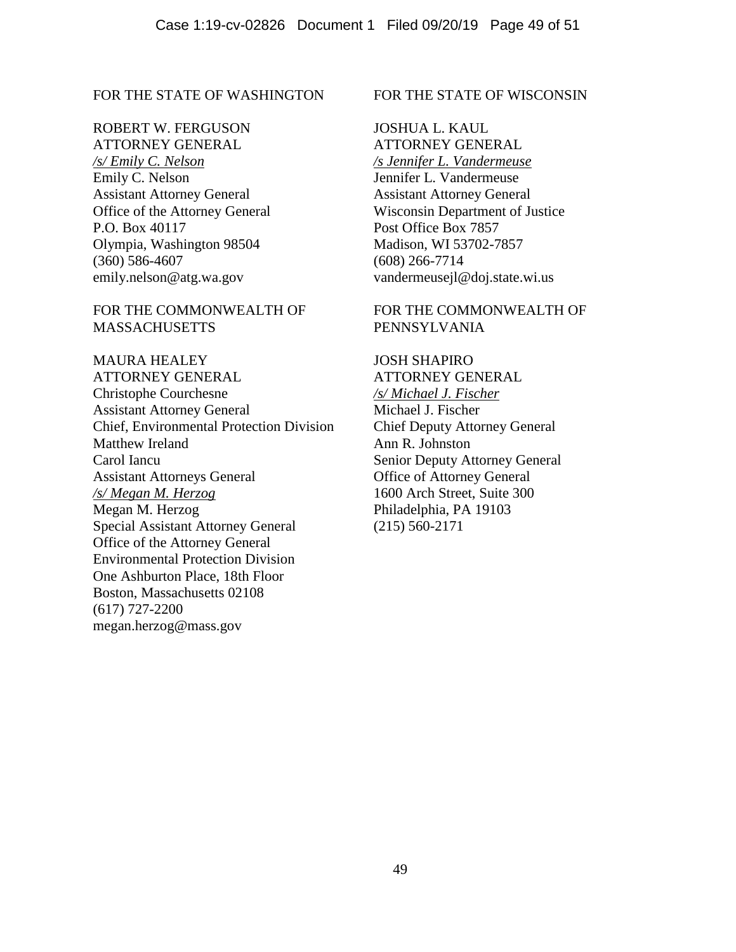## FOR THE STATE OF WASHINGTON

ROBERT W. FERGUSON ATTORNEY GENERAL */s/ Emily C. Nelson* Emily C. Nelson Assistant Attorney General Office of the Attorney General P.O. Box 40117 Olympia, Washington 98504 (360) 586-4607 emily.nelson@atg.wa.gov

FOR THE COMMONWEALTH OF **MASSACHUSETTS** 

MAURA HEALEY ATTORNEY GENERAL Christophe Courchesne Assistant Attorney General Chief, Environmental Protection Division Matthew Ireland Carol Iancu Assistant Attorneys General */s/ Megan M. Herzog* Megan M. Herzog Special Assistant Attorney General Office of the Attorney General Environmental Protection Division One Ashburton Place, 18th Floor Boston, Massachusetts 02108 (617) 727-2200 megan.herzog@mass.gov

#### FOR THE STATE OF WISCONSIN

JOSHUA L. KAUL ATTORNEY GENERAL */s Jennifer L. Vandermeuse* Jennifer L. Vandermeuse Assistant Attorney General Wisconsin Department of Justice Post Office Box 7857 Madison, WI 53702-7857 (608) 266-7714 vandermeusejl@doj.state.wi.us

## FOR THE COMMONWEALTH OF PENNSYLVANIA

JOSH SHAPIRO ATTORNEY GENERAL */s/ Michael J. Fischer* Michael J. Fischer Chief Deputy Attorney General Ann R. Johnston Senior Deputy Attorney General Office of Attorney General 1600 Arch Street, Suite 300 Philadelphia, PA 19103 (215) 560-2171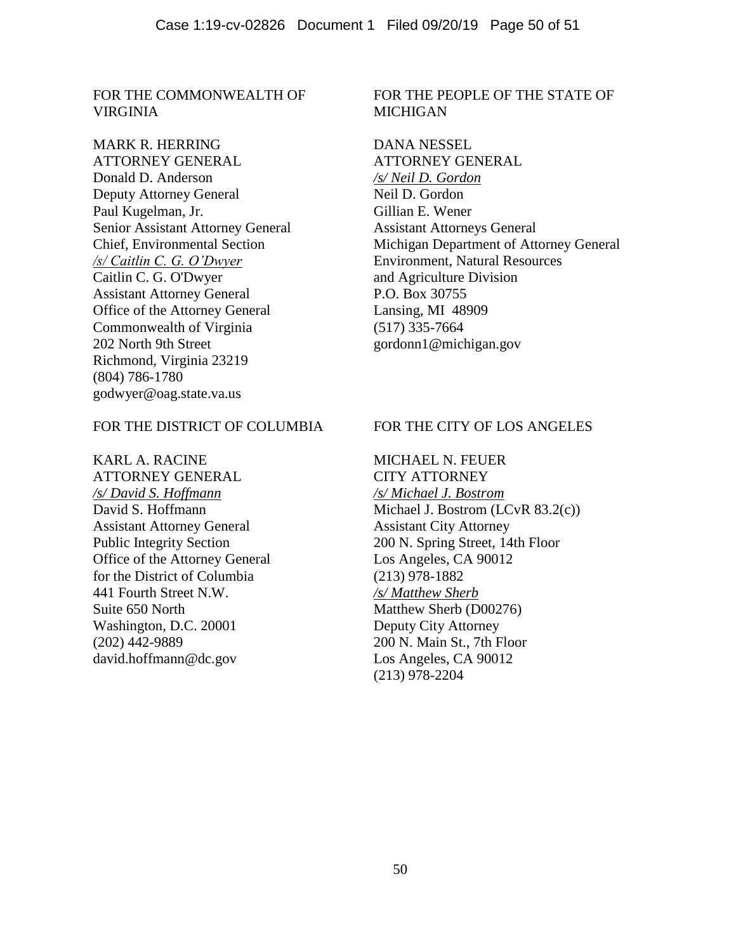FOR THE COMMONWEALTH OF VIRGINIA

MARK R. HERRING ATTORNEY GENERAL Donald D. Anderson Deputy Attorney General Paul Kugelman, Jr. Senior Assistant Attorney General Chief, Environmental Section */s/ Caitlin C. G. O'Dwyer* Caitlin C. G. O'Dwyer Assistant Attorney General Office of the Attorney General Commonwealth of Virginia 202 North 9th Street Richmond, Virginia 23219 (804) 786-1780 godwyer@oag.state.va.us

## FOR THE DISTRICT OF COLUMBIA

KARL A. RACINE ATTORNEY GENERAL */s/ David S. Hoffmann* David S. Hoffmann Assistant Attorney General Public Integrity Section Office of the Attorney General for the District of Columbia 441 Fourth Street N.W. Suite 650 North Washington, D.C. 20001 (202) 442-9889 david.hoffmann@dc.gov

# FOR THE PEOPLE OF THE STATE OF MICHIGAN

DANA NESSEL ATTORNEY GENERAL */s/ Neil D. Gordon* Neil D. Gordon Gillian E. Wener Assistant Attorneys General Michigan Department of Attorney General Environment, Natural Resources and Agriculture Division P.O. Box 30755 Lansing, MI 48909 (517) 335-7664 gordonn1@michigan.gov

## FOR THE CITY OF LOS ANGELES

MICHAEL N. FEUER CITY ATTORNEY */s/ Michael J. Bostrom* Michael J. Bostrom (LCvR 83.2(c)) Assistant City Attorney 200 N. Spring Street, 14th Floor Los Angeles, CA 90012 (213) 978-1882 */s/ Matthew Sherb* Matthew Sherb (D00276) Deputy City Attorney 200 N. Main St., 7th Floor Los Angeles, CA 90012 (213) 978-2204